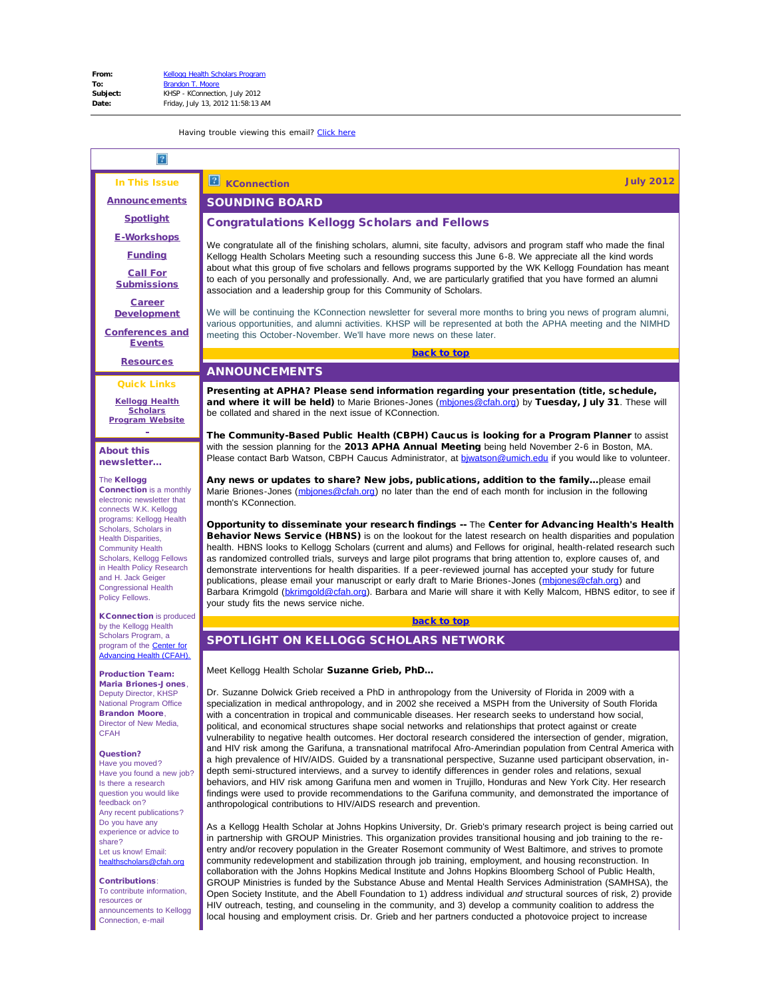# In This Issue

<span id="page-0-2"></span>[Announcements](#page-0-0)

**[Spotlight](#page-0-1)** 

[E-Workshops](#page-1-0)

[Funding](#page-1-1)

[Call For](#page-2-0) **[Submissions](#page-2-0)** 

**[Career](#page-3-0) [Development](#page-3-0)** 

<span id="page-0-3"></span><span id="page-0-0"></span>[Conferences and](#page-8-0) **[Events](#page-8-0)** 

**[Resources](#page-10-0)** 

#### Quick Links

**[Kellogg Health](http://r20.rs6.net/tn.jsp?e=0019l1XMXRMQ6uQUf4EBxMgUvNEyZLi9AMzO9c6CVBuULzccE7gHH0XeowinuefpCEUGoRwlxjWYBvoIOaRwS-FdbweBbbH4V_kzJBnNTvDosSzGM9Sh_Ija5FMl0kudJKL) [Scholars](http://r20.rs6.net/tn.jsp?e=0019l1XMXRMQ6uQUf4EBxMgUvNEyZLi9AMzO9c6CVBuULzccE7gHH0XeowinuefpCEUGoRwlxjWYBvoIOaRwS-FdbweBbbH4V_kzJBnNTvDosSzGM9Sh_Ija5FMl0kudJKL) [Program](http://r20.rs6.net/tn.jsp?e=0019l1XMXRMQ6uQUf4EBxMgUvNEyZLi9AMzO9c6CVBuULzccE7gHH0XeowinuefpCEUGoRwlxjWYBvoIOaRwS-FdbweBbbH4V_kzJBnNTvDosSzGM9Sh_Ija5FMl0kudJKL) Website**

#### About this newsletter...

#### The Kellogg

Connection is a monthly electronic newsletter that connects W.K. Kellogg programs: Kellogg Health Scholars, Scholars in Health Disparities, Community Health Scholars, Kellogg Fellows in Health Policy Research and H. Jack Geiger Congressional Health Policy Fellows.

<span id="page-0-1"></span>KConnection is produced by the Kellogg Health Scholars Program, a program of the [Center for](http://r20.rs6.net/tn.jsp?e=0019l1XMXRMQ6sFLiqbYljewHgc6D1VRPfsO-zIbtd_3mAFOnh88tFsHTLpP-6qw0-LlHIrPpn9oB-gYTiRlvhImAy5tGdlaDALnLDwqTYgSbo=) [Advancing Health \(CFAH\).](http://r20.rs6.net/tn.jsp?e=0019l1XMXRMQ6sFLiqbYljewHgc6D1VRPfsO-zIbtd_3mAFOnh88tFsHTLpP-6qw0-LlHIrPpn9oB-gYTiRlvhImAy5tGdlaDALnLDwqTYgSbo=)

#### Production Team:

Maria Briones-Jones, Deputy Director, KHSP National Program Office Brandon Moore, Director of New Media, CFAH

#### Question?

Have you moved? Have you found a new job? Is there a research question you would like feedback on? Any recent publications? Do you have any experience or advice to share? Let us know! Email: [healthscholars@cfah.org](mailto:healthscholars@cfah.org)

Contributions: To contribute information,

resources or announcements to Kellogg Connection, e-mail

**R KConnection** *CONNECTION CONNECTION CONNECTION CONNECTION* SOUNDING BOARD

# Congratulations Kellogg Scholars and Fellows

We congratulate all of the finishing scholars, alumni, site faculty, advisors and program staff who made the final Kellogg Health Scholars Meeting such a resounding success this June 6-8. We appreciate all the kind words about what this group of five scholars and fellows programs supported by the WK Kellogg Foundation has meant to each of you personally and professionally. And, we are particularly gratified that you have formed an alumni association and a leadership group for this Community of Scholars.

We will be continuing the KConnection newsletter for several more months to bring you news of program alumni, various opportunities, and alumni activities. KHSP will be represented at both the APHA meeting and the NIMHD meeting this October-November. We'll have more news on these later.

#### [back to top](#page-0-2)

# ANNOUNCEMENTS

Presenting at APHA? Please send information regarding your presentation (title, schedule, and where it will be held) to Marie Briones-Jones (mbiones@cfah.org) by Tuesday, July 31. These will be collated and shared in the next issue of KConnection.

The Community-Based Public Health (CBPH) Caucus is looking for a Program Planner to assist with the session planning for the 2013 APHA Annual Meeting being held November 2-6 in Boston, MA. Please contact Barb Watson, CBPH Caucus Administrator, at **biwatson@umich.edu** if you would like to volunteer.

Any news or updates to share? New jobs, publications, addition to the family...please email Marie Briones-Jones (mbiones@cfah.org) no later than the end of each month for inclusion in the following month's KConnection.

Opportunity to disseminate your research findings -- The Center for Advancing Health's Health Behavior News Service (HBNS) is on the lookout for the latest research on health disparities and population health. HBNS looks to Kellogg Scholars (current and alums) and Fellows for original, health-related research such as randomized controlled trials, surveys and large pilot programs that bring attention to, explore causes of, and demonstrate interventions for health disparities. If a peer-reviewed journal has accepted your study for future publications, please email your manuscript or early draft to Marie Briones-Jones ([mbjones@cfah.org](mailto:mbjones@cfah.org)) and Barbara Krimgold ([bkrimgold@cfah.org](mailto:bkrimgold@cfah.org)). Barbara and Marie will share it with Kelly Malcom, HBNS editor, to see if your study fits the news service niche.

## [back to top](#page-0-2)

# SPOTLIGHT ON KELLOGG SCHOLARS NETWORK

Meet Kellogg Health Scholar Suzanne Grieb, PhD...

Dr. Suzanne Dolwick Grieb received a PhD in anthropology from the University of Florida in 2009 with a specialization in medical anthropology, and in 2002 she received a MSPH from the University of South Florida with a concentration in tropical and communicable diseases. Her research seeks to understand how social, political, and economical structures shape social networks and relationships that protect against or create vulnerability to negative health outcomes. Her doctoral research considered the intersection of gender, migration, and HIV risk among the Garifuna, a transnational matrifocal Afro-Amerindian population from Central America with a high prevalence of HIV/AIDS. Guided by a transnational perspective, Suzanne used participant observation, indepth semi-structured interviews, and a survey to identify differences in gender roles and relations, sexual behaviors, and HIV risk among Garifuna men and women in Trujillo, Honduras and New York City. Her research findings were used to provide recommendations to the Garifuna community, and demonstrated the importance of anthropological contributions to HIV/AIDS research and prevention.

As a Kellogg Health Scholar at Johns Hopkins University, Dr. Grieb's primary research project is being carried out in partnership with GROUP Ministries. This organization provides transitional housing and job training to the reentry and/or recovery population in the Greater Rosemont community of West Baltimore, and strives to promote community redevelopment and stabilization through job training, employment, and housing reconstruction. In collaboration with the Johns Hopkins Medical Institute and Johns Hopkins Bloomberg School of Public Health, GROUP Ministries is funded by the Substance Abuse and Mental Health Services Administration (SAMHSA), the Open Society Institute, and the Abell Foundation to 1) address individual *and* structural sources of risk, 2) provide HIV outreach, testing, and counseling in the community, and 3) develop a community coalition to address the local housing and employment crisis. Dr. Grieb and her partners conducted a photovoice project to increase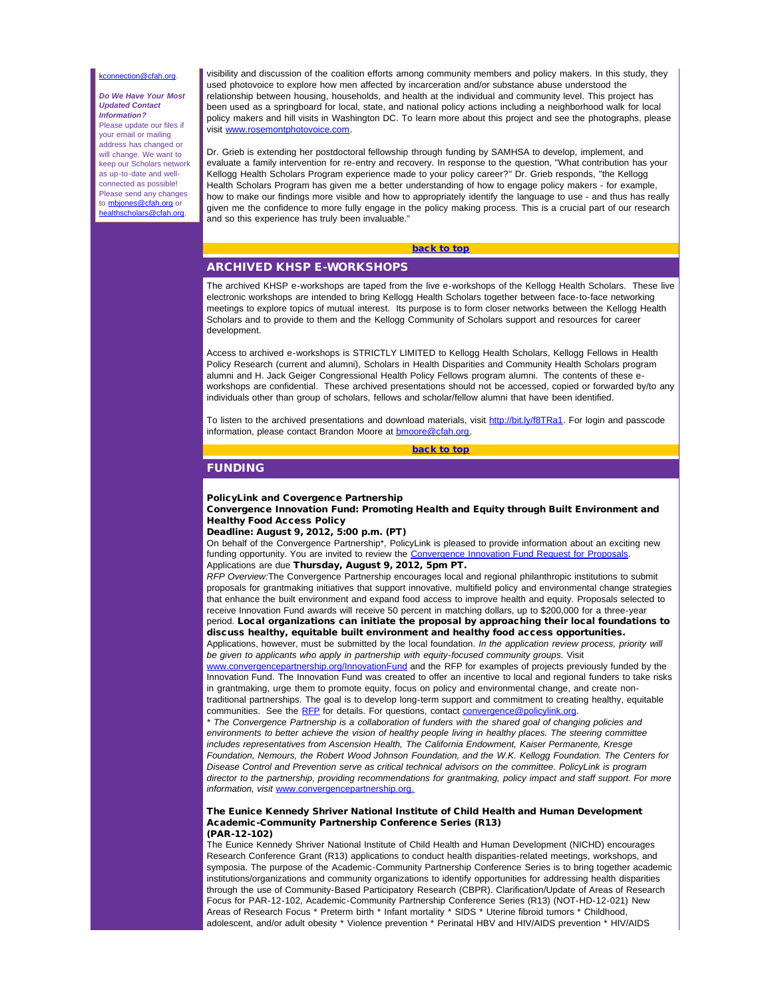#### [kconnection@cfah.org.](mailto:kconnection@cfah.org)

<span id="page-1-0"></span>*Do We Have Your Most Updated Contact Information?* Please update our files if your email or mailing address has changed or will change. We want to keep our Scholars network as up-to-date and wellconnected as possible! Please send any changes to **[mbjones@cfah.org](mailto:mbjones@cfah.org)** or [healthscholars@cfah.org.](mailto:healthscholars@cfah.org)

visibility and discussion of the coalition efforts among community members and policy makers. In this study, they used photovoice to explore how men affected by incarceration and/or substance abuse understood the relationship between housing, households, and health at the individual and community level. This project has been used as a springboard for local, state, and national policy actions including a neighborhood walk for local policy makers and hill visits in Washington DC. To learn more about this project and see the photographs, please visit [www.rosemontphotovoice.com.](http://r20.rs6.net/tn.jsp?e=0019l1XMXRMQ6ukGqLog6j93WzFOAiz3fExbC1pfx2175pKNJYI43ptT7OHAj-fGOWIB-I1Id35rnHAXefxB0cQx_5O8rR2rzRbPjFmzKMPmqSCH3ICgRxlaQ==)

Dr. Grieb is extending her postdoctoral fellowship through funding by SAMHSA to develop, implement, and evaluate a family intervention for re-entry and recovery. In response to the question, "What contribution has your Kellogg Health Scholars Program experience made to your policy career?" Dr. Grieb responds, "the Kellogg Health Scholars Program has given me a better understanding of how to engage policy makers - for example, how to make our findings more visible and how to appropriately identify the language to use - and thus has really given me the confidence to more fully engage in the policy making process. This is a crucial part of our research and so this experience has truly been invaluable."

# [back to top](#page-0-3)

## ARCHIVED KHSP E-WORKSHOPS

<span id="page-1-1"></span>The archived KHSP e-workshops are taped from the live e-workshops of the Kellogg Health Scholars. These live electronic workshops are intended to bring Kellogg Health Scholars together between face-to-face networking meetings to explore topics of mutual interest. Its purpose is to form closer networks between the Kellogg Health Scholars and to provide to them and the Kellogg Community of Scholars support and resources for career development.

Access to archived e-workshops is STRICTLY LIMITED to Kellogg Health Scholars, Kellogg Fellows in Health Policy Research (current and alumni), Scholars in Health Disparities and Community Health Scholars program alumni and H. Jack Geiger Congressional Health Policy Fellows program alumni. The contents of these eworkshops are confidential. These archived presentations should not be accessed, copied or forwarded by/to any individuals other than group of scholars, fellows and scholar/fellow alumni that have been identified.

To listen to the archived presentations and download materials, visit [http://bit.ly/f8TRa1.](http://r20.rs6.net/tn.jsp?e=0019l1XMXRMQ6uN4lFZgY1ty7KGzhGMzSgkTENXWuu_YvqkYSOQfnAfaAeb4hn1-EFI16JtnuZZfS1-K4gEhoTr-FbkwxcQUWF-RCsp0P3bMTBiqgqCASfaUyN7ElVZtCETOjfP89Sxkhs=) For login and passcode information, please contact Brandon Moore at **bmoore@cfah.org** 

#### [back to top](#page-0-3)

## FUNDING

#### PolicyLink and Covergence Partnership

Convergence Innovation Fund: Promoting Health and Equity through Built Environment and Healthy Food Access Policy

Deadline: August 9, 2012, 5:00 p.m. (PT)

On behalf of the Convergence Partnership\*, PolicyLink is pleased to provide information about an exciting new funding opportunity. You are invited to review the [Convergence Innovation Fund Request for Proposals](http://r20.rs6.net/tn.jsp?e=0019l1XMXRMQ6v1STyQf9hmO19C9pdretbyKBLn4dwWNL59YGo70bjJ_yUbRqmS19TUD54LdmPuitHVPTxWiyA0rpIlNjHr2UVvqhhfOpbzCPggbgn98-8Q-yfQBfXIa08apvNsNk0QuP-eCVevsCXzricnoJqTqWtgEdrUwS-bwZ4KW1REqIn1qhsY6u0CpQXgZJzKD2JpRRfU-RJUr4WCFu3LKB0bQ3-c). Applications are due Thursday, August 9, 2012, 5pm PT.

*RFP Overview:*The Convergence Partnership encourages local and regional philanthropic institutions to submit proposals for grantmaking initiatives that support innovative, multifield policy and environmental change strategies that enhance the built environment and expand food access to improve health and equity. Proposals selected to receive Innovation Fund awards will receive 50 percent in matching dollars, up to \$200,000 for a three-year period. Local organizations can initiate the proposal by approaching their local foundations to discuss healthy, equitable built environment and healthy food access opportunities. Applications, however, must be submitted by the local foundation. *In the application review process, priority will be given to applicants who apply in partnership with equity-focused community groups.* Visit [www.convergencepartnership.org/InnovationFund](http://r20.rs6.net/tn.jsp?e=0019l1XMXRMQ6ufNSIbg7FlHY0GFLSJrzXRxdBvqFC9IrzQf8MwBoyJH1C3d89R5yWVbISDV2iiRhmQ2QKW0DukrVdbkZl64eZS3pOpLY9faYM9V_QUlxzSs39ZVBCoikrxfkg2ZjVkgteizsX-2ZY0rKBqeXMBIyNvTFN1FFU8djVgp6JC3zuG6uj4r4RSXsxa9TRGSEcTZx5PfZlzRmHj4sH0b8YQptZV) and the RFP for examples of projects previously funded by the Innovation Fund. The Innovation Fund was created to offer an incentive to local and regional funders to take risks in grantmaking, urge them to promote equity, focus on policy and environmental change, and create nontraditional partnerships. The goal is to develop long-term support and commitment to creating healthy, equitable communities. See the [RFP](http://r20.rs6.net/tn.jsp?e=0019l1XMXRMQ6tuBxkc3BCQcBnagbC6YutGnd64SnWAcOl_C0ynW1ZImO6qTGBEyvpYPVbc6QazEcOdfuSBiLwppNvEianYjTsW5kEfFVJZS_YJDMI8h72d5_gXFoCfF2FQfI-g5MetrjxQZcrf0ayFFY90w2WX8-3H0GXeNVAZD1sH2joUxQQ3IMX7OHvtsfLTdVNeYTQ7LI0-nFAT8YYlWF1K_N6zYLj7) for details. For questions, contact [convergence@policylink.org](mailto:convergence@policylink.org). *\* The Convergence Partnership is a collaboration of funders with the shared goal of changing policies and environments to better achieve the vision of healthy people living in healthy places. The steering committee includes representatives from Ascension Health, The California Endowment, Kaiser Permanente, Kresge Foundation, Nemours, the Robert Wood Johnson Foundation, and the W.K. Kellogg Foundation. The Centers for*

*Disease Control and Prevention serve as critical technical advisors on the committee. PolicyLink is program director to the partnership, providing recommendations for grantmaking, policy impact and staff support. For more information, visit* [www.convergencepartnership.org.](http://r20.rs6.net/tn.jsp?e=0019l1XMXRMQ6vIcm0r5x018Hm8T08B7N8MAvDCxMaqdoIwZq39oM_QDmLi4q2GKWqPDLjoZE8MbcY21EVpC9L-7V2fcxWtx_N7iocN1g3ZgHomcZvYIAsL63SCtOgPUXOzD3V5sA-SWPZLZd7eJDScmqQoAXSJwJIsURI9Cf1Ns2pGMtHy1dAapz8_mvbZeQBZkiCyAlVibCQ69TwpYLEEPKsoSvnBqHJC)

#### The Eunice Kennedy Shriver National Institute of Child Health and Human Development Academic-Community Partnership Conference Series (R13) (PAR-12-102)

The Eunice Kennedy Shriver National Institute of Child Health and Human Development (NICHD) encourages Research Conference Grant (R13) applications to conduct health disparities-related meetings, workshops, and symposia. The purpose of the Academic-Community Partnership Conference Series is to bring together academic institutions/organizations and community organizations to identify opportunities for addressing health disparities through the use of Community-Based Participatory Research (CBPR). Clarification/Update of Areas of Research Focus for PAR-12-102, Academic-Community Partnership Conference Series (R13) (NOT-HD-12-021) New Areas of Research Focus \* Preterm birth \* Infant mortality \* SIDS \* Uterine fibroid tumors \* Childhood, adolescent, and/or adult obesity \* Violence prevention \* Perinatal HBV and HIV/AIDS prevention \* HIV/AIDS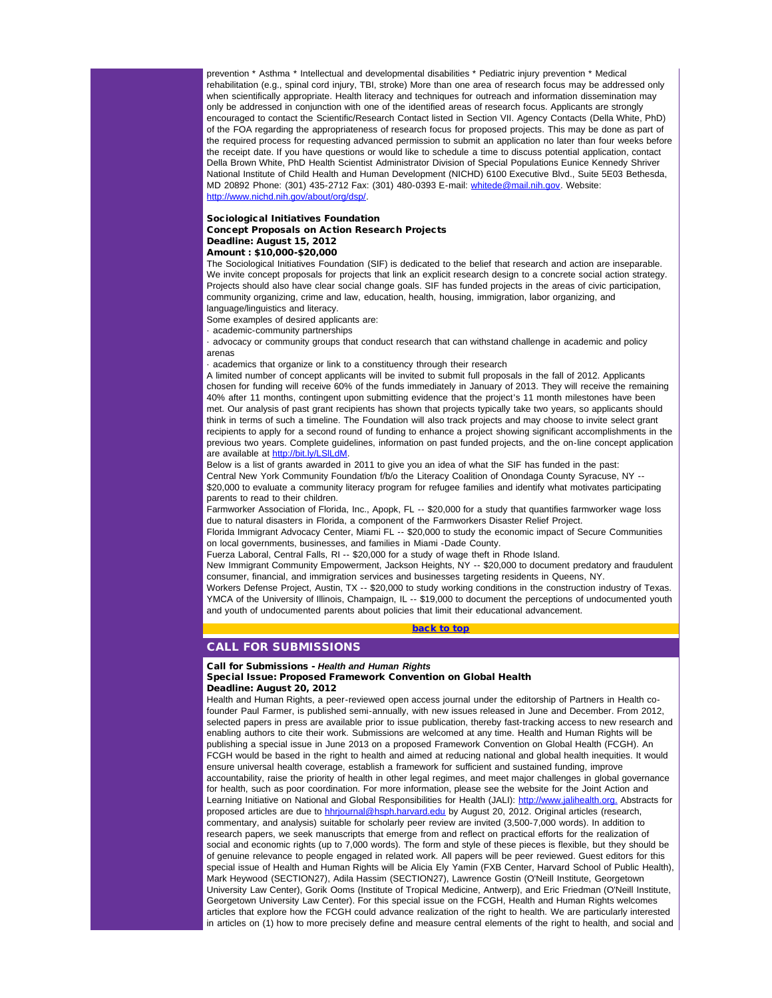prevention \* Asthma \* Intellectual and developmental disabilities \* Pediatric injury prevention \* Medical rehabilitation (e.g., spinal cord injury, TBI, stroke) More than one area of research focus may be addressed only when scientifically appropriate. Health literacy and techniques for outreach and information dissemination may only be addressed in conjunction with one of the identified areas of research focus. Applicants are strongly encouraged to contact the Scientific/Research Contact listed in Section VII. Agency Contacts (Della White, PhD) of the FOA regarding the appropriateness of research focus for proposed projects. This may be done as part of the required process for requesting advanced permission to submit an application no later than four weeks before the receipt date. If you have questions or would like to schedule a time to discuss potential application, contact Della Brown White, PhD Health Scientist Administrator Division of Special Populations Eunice Kennedy Shriver National Institute of Child Health and Human Development (NICHD) 6100 Executive Blvd., Suite 5E03 Bethesda, MD 20892 Phone: (301) 435-2712 Fax: (301) 480-0393 E-mail: [whitede@mail.nih.gov.](mailto:whitede@mail.nih.gov) Website: [http://www.nichd.nih.gov/about/org/dsp/](http://r20.rs6.net/tn.jsp?e=0019l1XMXRMQ6sI7lEnkWfe63EHHdTOVxeEV8v3ikE2ZU0R9lnAA87VKRJmVTOckiK1XNTDUIUxjrxpAy5KE7SeoSQBRoPIFURnxkAWWFCYUHgr6b0PmqMduzwnqwM3Cp51nSUiP6svFcA=).

## Sociological Initiatives Foundation Concept Proposals on Action Research Projects Deadline: August 15, 2012

## Amount : \$10,000-\$20,000

The Sociological Initiatives Foundation (SIF) is dedicated to the belief that research and action are inseparable. We invite concept proposals for projects that link an explicit research design to a concrete social action strategy. Projects should also have clear social change goals. SIF has funded projects in the areas of civic participation, community organizing, crime and law, education, health, housing, immigration, labor organizing, and language/linguistics and literacy.

Some examples of desired applicants are:

· academic-community partnerships

· advocacy or community groups that conduct research that can withstand challenge in academic and policy arenas

· academics that organize or link to a constituency through their research

A limited number of concept applicants will be invited to submit full proposals in the fall of 2012. Applicants chosen for funding will receive 60% of the funds immediately in January of 2013. They will receive the remaining 40% after 11 months, contingent upon submitting evidence that the project's 11 month milestones have been met. Our analysis of past grant recipients has shown that projects typically take two years, so applicants should think in terms of such a timeline. The Foundation will also track projects and may choose to invite select grant recipients to apply for a second round of funding to enhance a project showing significant accomplishments in the previous two years. Complete guidelines, information on past funded projects, and the on-line concept application are available at http://bit.ly/LSILdM.

<span id="page-2-0"></span>Below is a list of grants awarded in 2011 to give you an idea of what the SIF has funded in the past: Central New York Community Foundation f/b/o the Literacy Coalition of Onondaga County Syracuse, NY --\$20,000 to evaluate a community literacy program for refugee families and identify what motivates participating parents to read to their children.

Farmworker Association of Florida, Inc., Apopk, FL -- \$20,000 for a study that quantifies farmworker wage loss due to natural disasters in Florida, a component of the Farmworkers Disaster Relief Project.

Florida Immigrant Advocacy Center, Miami FL -- \$20,000 to study the economic impact of Secure Communities on local governments, businesses, and families in Miami -Dade County.

Fuerza Laboral, Central Falls, RI -- \$20,000 for a study of wage theft in Rhode Island.

New Immigrant Community Empowerment, Jackson Heights, NY -- \$20,000 to document predatory and fraudulent consumer, financial, and immigration services and businesses targeting residents in Queens, NY.

Workers Defense Project, Austin, TX -- \$20,000 to study working conditions in the construction industry of Texas. YMCA of the University of Illinois, Champaign, IL -- \$19,000 to document the perceptions of undocumented youth and youth of undocumented parents about policies that limit their educational advancement.

#### [back to top](#page-0-3)

#### CALL FOR SUBMISSIONS

Call for Submissions - *Health and Human Rights*

Special Issue: Proposed Framework Convention on Global Health Deadline: August 20, 2012

Health and Human Rights, a peer-reviewed open access journal under the editorship of Partners in Health cofounder Paul Farmer, is published semi-annually, with new issues released in June and December. From 2012, selected papers in press are available prior to issue publication, thereby fast-tracking access to new research and enabling authors to cite their work. Submissions are welcomed at any time. Health and Human Rights will be publishing a special issue in June 2013 on a proposed Framework Convention on Global Health (FCGH). An FCGH would be based in the right to health and aimed at reducing national and global health inequities. It would ensure universal health coverage, establish a framework for sufficient and sustained funding, improve accountability, raise the priority of health in other legal regimes, and meet major challenges in global governance for health, such as poor coordination. For more information, please see the website for the Joint Action and Learning Initiative on National and Global Responsibilities for Health (JALI): [http://www.jalihealth.org.](http://r20.rs6.net/tn.jsp?e=0019l1XMXRMQ6tH7NYFNaJMDZv5YrfQKe_5fLp4O5NBOnIVl9mCNOWcg68k-zTTo4BglHtD76XoSToBqwnWftMY5kQGryKrQWcXOBNEjLb1O_g=) Abstracts for proposed articles are due to [hhrjournal@hsph.harvard.edu](mailto:hhrjournal@hsph.harvard.edu) by August 20, 2012. Original articles (research, commentary, and analysis) suitable for scholarly peer review are invited (3,500-7,000 words). In addition to research papers, we seek manuscripts that emerge from and reflect on practical efforts for the realization of social and economic rights (up to 7,000 words). The form and style of these pieces is flexible, but they should be of genuine relevance to people engaged in related work. All papers will be peer reviewed. Guest editors for this special issue of Health and Human Rights will be Alicia Ely Yamin (FXB Center, Harvard School of Public Health), Mark Heywood (SECTION27), Adila Hassim (SECTION27), Lawrence Gostin (O'Neill Institute, Georgetown University Law Center), Gorik Ooms (Institute of Tropical Medicine, Antwerp), and Eric Friedman (O'Neill Institute, Georgetown University Law Center). For this special issue on the FCGH, Health and Human Rights welcomes articles that explore how the FCGH could advance realization of the right to health. We are particularly interested in articles on (1) how to more precisely define and measure central elements of the right to health, and social and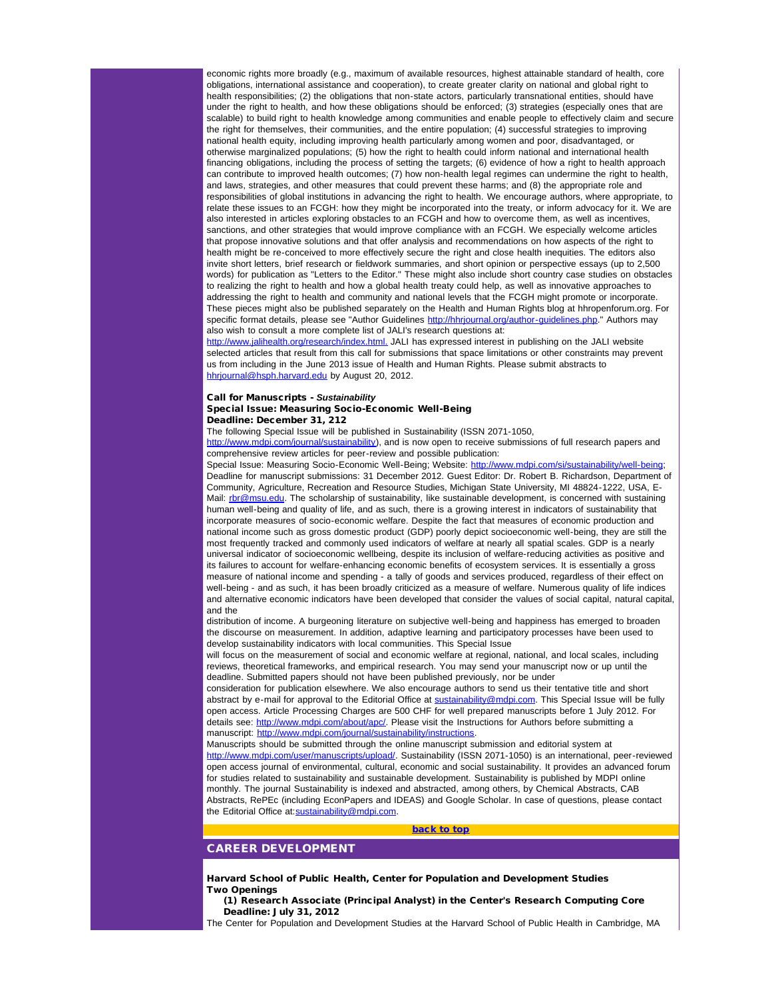economic rights more broadly (e.g., maximum of available resources, highest attainable standard of health, core obligations, international assistance and cooperation), to create greater clarity on national and global right to health responsibilities; (2) the obligations that non-state actors, particularly transnational entities, should have under the right to health, and how these obligations should be enforced; (3) strategies (especially ones that are scalable) to build right to health knowledge among communities and enable people to effectively claim and secure the right for themselves, their communities, and the entire population; (4) successful strategies to improving national health equity, including improving health particularly among women and poor, disadvantaged, or otherwise marginalized populations; (5) how the right to health could inform national and international health financing obligations, including the process of setting the targets; (6) evidence of how a right to health approach can contribute to improved health outcomes; (7) how non-health legal regimes can undermine the right to health, and laws, strategies, and other measures that could prevent these harms; and (8) the appropriate role and responsibilities of global institutions in advancing the right to health. We encourage authors, where appropriate, to relate these issues to an FCGH: how they might be incorporated into the treaty, or inform advocacy for it. We are also interested in articles exploring obstacles to an FCGH and how to overcome them, as well as incentives, sanctions, and other strategies that would improve compliance with an FCGH. We especially welcome articles that propose innovative solutions and that offer analysis and recommendations on how aspects of the right to health might be re-conceived to more effectively secure the right and close health inequities. The editors also invite short letters, brief research or fieldwork summaries, and short opinion or perspective essays (up to 2,500 words) for publication as "Letters to the Editor." These might also include short country case studies on obstacles to realizing the right to health and how a global health treaty could help, as well as innovative approaches to addressing the right to health and community and national levels that the FCGH might promote or incorporate. These pieces might also be published separately on the Health and Human Rights blog at hhropenforum.org. For specific format details, please see "Author Guidelines [http://hhrjournal.org/author-guidelines.php](http://r20.rs6.net/tn.jsp?e=0019l1XMXRMQ6vMWhnJ4_7XwHHT-aDdlBvgfGfGCzxkvqwVAIeP_iOFYm1XGfEmeAK8jIM6ltGShxRqTL0vIfPAdsPtcZPyD1PD3KjM6gCECgj-uM-vE6tsOLYuCl1-kslpNTxbpt2aeKA=)." Authors may also wish to consult a more complete list of JALI's research questions at:

http://www.jalihealth.org/research/index.html.</u> JALI has expressed interest in publishing on the JALI website selected articles that result from this call for submissions that space limitations or other constraints may prevent us from including in the June 2013 issue of Health and Human Rights. Please submit abstracts to [hhrjournal@hsph.harvard.edu](mailto:hhrjournal@hsph.harvard.edu) by August 20, 2012.

## Call for Manuscripts - *Sustainability* Special Issue: Measuring Socio-Economic Well-Being Deadline: December 31, 212

The following Special Issue will be published in Sustainability (ISSN 2071-1050,

[http://www.mdpi.com/journal/sustainability](http://r20.rs6.net/tn.jsp?e=0019l1XMXRMQ6tBVzX3ydJC_JhM6jFvDhfkYHcLikEMMmu0aLFmY2wIbVnTSfkPHXk2HDQHvpPhStkAulzOhlM3OgneIaNe3X-2nKz1lXrOC4zqZFA_zpjNFHGefdqX2HALlVNrtNE2AzU=)), and is now open to receive submissions of full research papers and comprehensive review articles for peer-review and possible publication:

Special Issue: Measuring Socio-Economic Well-Being; Website: [http://www.mdpi.com/si/sustainability/well-being](http://r20.rs6.net/tn.jsp?e=0019l1XMXRMQ6vT74IqzrsaEOcre0iynfILvrjQw7HoDVDYAfFuow0UdIV6JLTbO-0CJrSn-zxD2Q3q3QDfRp8vHLgUDTK-7G-Tz_p9V9zMoD6Qzk-6JmTY9_gQrtaO1oye-KhsfjcspXEvvD4DzWkF8A==); Deadline for manuscript submissions: 31 December 2012. Guest Editor: Dr. Robert B. Richardson, Department of Community, Agriculture, Recreation and Resource Studies, Michigan State University, MI 48824-1222, USA, EMail: [rbr@msu.edu.](mailto:rbr@msu.edu) The scholarship of sustainability, like sustainable development, is concerned with sustaining human well-being and quality of life, and as such, there is a growing interest in indicators of sustainability that incorporate measures of socio-economic welfare. Despite the fact that measures of economic production and national income such as gross domestic product (GDP) poorly depict socioeconomic well-being, they are still the most frequently tracked and commonly used indicators of welfare at nearly all spatial scales. GDP is a nearly universal indicator of socioeconomic wellbeing, despite its inclusion of welfare-reducing activities as positive and its failures to account for welfare-enhancing economic benefits of ecosystem services. It is essentially a gross measure of national income and spending - a tally of goods and services produced, regardless of their effect on well-being - and as such, it has been broadly criticized as a measure of welfare. Numerous quality of life indices and alternative economic indicators have been developed that consider the values of social capital, natural capital, and the

distribution of income. A burgeoning literature on subjective well-being and happiness has emerged to broaden the discourse on measurement. In addition, adaptive learning and participatory processes have been used to develop sustainability indicators with local communities. This Special Issue

<span id="page-3-0"></span>will focus on the measurement of social and economic welfare at regional, national, and local scales, including reviews, theoretical frameworks, and empirical research. You may send your manuscript now or up until the deadline. Submitted papers should not have been published previously, nor be under

consideration for publication elsewhere. We also encourage authors to send us their tentative title and short abstract by e-mail for approval to the Editorial Office at [sustainability@mdpi.com.](mailto:sustainability@mdpi.com) This Special Issue will be fully open access. Article Processing Charges are 500 CHF for well prepared manuscripts before 1 July 2012. For details see: [http://www.mdpi.com/about/apc/](http://r20.rs6.net/tn.jsp?e=0019l1XMXRMQ6uswlYtvntDgC9RihsUNG37jAYQ5-XBKKhTMaCzQX2gsV39HO0ERAb-c3z_yhJtTyY-JYzH34mgLrU15iczTS6MJlrg4-g5EYqWkIFeI6nmrHp9QscBsERb). Please visit the Instructions for Authors before submitting a manuscript: [http://www.mdpi.com/journal/sustainability/instructions](http://r20.rs6.net/tn.jsp?e=0019l1XMXRMQ6tu3CH-BuHdY8OX8gBAEQYKmpYwo00iff0axfjwObG0J5fXD4YUi0y-9Y4YwEtJa0XZC1qtpPNywzbY4I7XZdYYtXSHJ0SNAWWqLXSbn8pmfx4ZS9mfTekZGFzEQy7N07fnYfBYXfubq97JdmkC55_D).

Manuscripts should be submitted through the online manuscript submission and editorial system at [http://www.mdpi.com/user/manuscripts/upload/.](http://r20.rs6.net/tn.jsp?e=0019l1XMXRMQ6uSl9nofnrf6DxR-uR9_b_aB72XuwG5jhWefvNzSEnRc6W0lCsYkmotVpsG95_IaR1u6xB0bOUa-yrc1yMa5zAtf_hgLj1Kw052TkuNYU2yImXAFKvD94Oc_6u5hFb1J5CSfKfGLDyu7w==) Sustainability (ISSN 2071-1050) is an international, peer-reviewed open access journal of environmental, cultural, economic and social sustainability. It provides an advanced forum for studies related to sustainability and sustainable development. Sustainability is published by MDPI online monthly. The journal Sustainability is indexed and abstracted, among others, by Chemical Abstracts, CAB Abstracts, RePEc (including EconPapers and IDEAS) and Google Scholar. In case of questions, please contact the Editorial Office at: sustainability@mdpi.com

[back to top](#page-0-3)

# CAREER DEVELOPMENT

Harvard School of Public Health, Center for Population and Development Studies Two Openings

(1) Research Associate (Principal Analyst) in the Center's Research Computing Core Deadline: July 31, 2012

The Center for Population and Development Studies at the Harvard School of Public Health in Cambridge, MA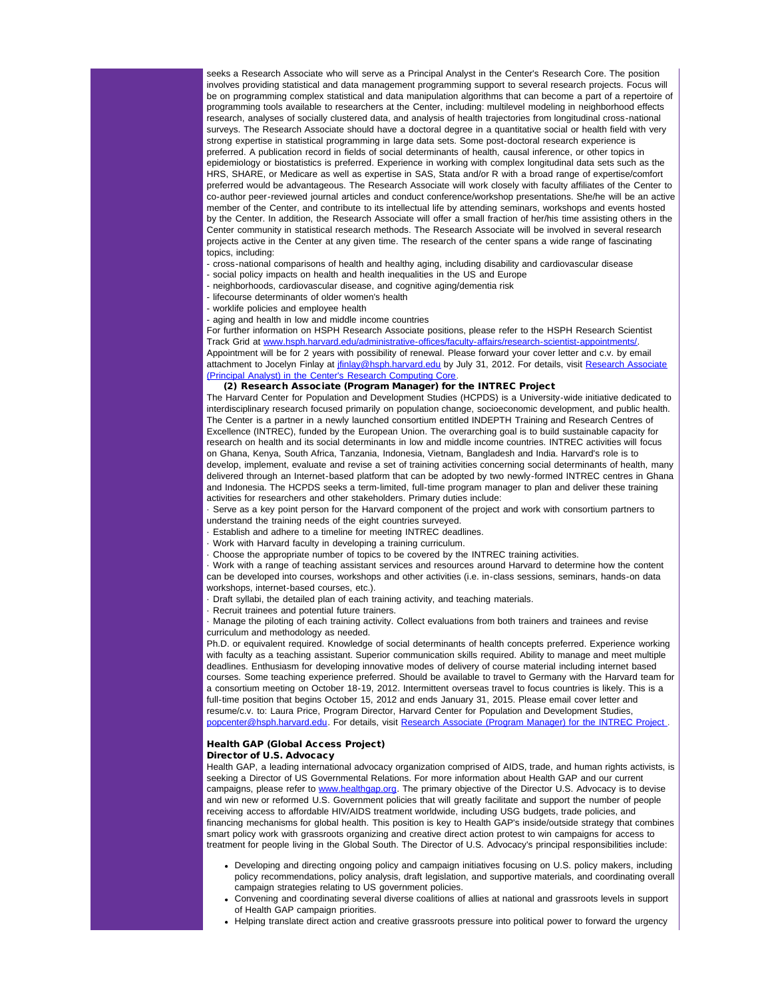seeks a Research Associate who will serve as a Principal Analyst in the Center's Research Core. The position involves providing statistical and data management programming support to several research projects. Focus will be on programming complex statistical and data manipulation algorithms that can become a part of a repertoire of programming tools available to researchers at the Center, including: multilevel modeling in neighborhood effects research, analyses of socially clustered data, and analysis of health trajectories from longitudinal cross-national surveys. The Research Associate should have a doctoral degree in a quantitative social or health field with very strong expertise in statistical programming in large data sets. Some post-doctoral research experience is preferred. A publication record in fields of social determinants of health, causal inference, or other topics in epidemiology or biostatistics is preferred. Experience in working with complex longitudinal data sets such as the HRS, SHARE, or Medicare as well as expertise in SAS, Stata and/or R with a broad range of expertise/comfort preferred would be advantageous. The Research Associate will work closely with faculty affiliates of the Center to co-author peer-reviewed journal articles and conduct conference/workshop presentations. She/he will be an active member of the Center, and contribute to its intellectual life by attending seminars, workshops and events hosted by the Center. In addition, the Research Associate will offer a small fraction of her/his time assisting others in the Center community in statistical research methods. The Research Associate will be involved in several research projects active in the Center at any given time. The research of the center spans a wide range of fascinating topics, including:

- cross-national comparisons of health and healthy aging, including disability and cardiovascular disease

- social policy impacts on health and health inequalities in the US and Europe

- neighborhoods, cardiovascular disease, and cognitive aging/dementia risk

- lifecourse determinants of older women's health

- worklife policies and employee health

- aging and health in low and middle income countries

For further information on HSPH Research Associate positions, please refer to the HSPH Research Scientist Track Grid at [www.hsph.harvard.edu/administrative-offices/faculty-affairs/research-scientist-appointments/.](http://r20.rs6.net/tn.jsp?e=0019l1XMXRMQ6tct9zVnPKj-VB-E-xe17fmdjdF_6mAEyxye_VZzwN0avM_WQWTsrTh_QZvJ5ZRnnEznQz-WMFyBqp62-r8-l4fKcA0PfHXc9ynudW62vns4Pe91FaMY_00vcEn2sw7mslU3SbD2sMzCxlVblYhufaM-s8c4juCEbFD7SsSbPBvPw-an1bc8wObOwVE_fDUgsbjbz3D0tBvzCg8y7wvZyt2) Appointment will be for 2 years with possibility of renewal. Please forward your cover letter and c.v. by email attachment to Jocelyn Finlay at [jfinlay@hsph.harvard.edu](mailto:jfinlay@hsph.harvard.edu) by July 31, 2012. For details, visit [Research Associate](http://r20.rs6.net/tn.jsp?e=0019l1XMXRMQ6t8sZ3nn4BJQm8Yp8Qbl2Ad_DoJ0iYiNSzP4dL5PkTrZfxA0vspdS2cSRKO7oXBeTg44naPi3pxo4ZFl-5s9Ujsn8e28pZCRO78HVRNdGA1x2KN_lAR1b48k0qFZit14-XzAsl1tpeeJPY6ojKaWsVKUYeJK97ltzMBYC-qHeFDMGg7iizw6U6eaLgGxHUhfFbO5RI6ed8_QK5js-q7lHEOhyZGcNbiemvciXQKSLW9Ml7qQAuCqEdd) [\(Principal Analyst\) in the Center's Research Computing Core](http://r20.rs6.net/tn.jsp?e=0019l1XMXRMQ6t8sZ3nn4BJQm8Yp8Qbl2Ad_DoJ0iYiNSzP4dL5PkTrZfxA0vspdS2cSRKO7oXBeTg44naPi3pxo4ZFl-5s9Ujsn8e28pZCRO78HVRNdGA1x2KN_lAR1b48k0qFZit14-XzAsl1tpeeJPY6ojKaWsVKUYeJK97ltzMBYC-qHeFDMGg7iizw6U6eaLgGxHUhfFbO5RI6ed8_QK5js-q7lHEOhyZGcNbiemvciXQKSLW9Ml7qQAuCqEdd).

## (2) Research Associate (Program Manager) for the INTREC Project

The Harvard Center for Population and Development Studies (HCPDS) is a University-wide initiative dedicated to interdisciplinary research focused primarily on population change, socioeconomic development, and public health. The Center is a partner in a newly launched consortium entitled INDEPTH Training and Research Centres of Excellence (INTREC), funded by the European Union. The overarching goal is to build sustainable capacity for research on health and its social determinants in low and middle income countries. INTREC activities will focus on Ghana, Kenya, South Africa, Tanzania, Indonesia, Vietnam, Bangladesh and India. Harvard's role is to develop, implement, evaluate and revise a set of training activities concerning social determinants of health, many delivered through an Internet-based platform that can be adopted by two newly-formed INTREC centres in Ghana and Indonesia. The HCPDS seeks a term-limited, full-time program manager to plan and deliver these training activities for researchers and other stakeholders. Primary duties include:

· Serve as a key point person for the Harvard component of the project and work with consortium partners to understand the training needs of the eight countries surveyed.

· Establish and adhere to a timeline for meeting INTREC deadlines.

· Work with Harvard faculty in developing a training curriculum.

· Choose the appropriate number of topics to be covered by the INTREC training activities.

· Work with a range of teaching assistant services and resources around Harvard to determine how the content can be developed into courses, workshops and other activities (i.e. in-class sessions, seminars, hands-on data workshops, internet-based courses, etc.).

· Draft syllabi, the detailed plan of each training activity, and teaching materials.

· Recruit trainees and potential future trainers.

· Manage the piloting of each training activity. Collect evaluations from both trainers and trainees and revise curriculum and methodology as needed.

Ph.D. or equivalent required. Knowledge of social determinants of health concepts preferred. Experience working with faculty as a teaching assistant. Superior communication skills required. Ability to manage and meet multiple deadlines. Enthusiasm for developing innovative modes of delivery of course material including internet based courses. Some teaching experience preferred. Should be available to travel to Germany with the Harvard team for a consortium meeting on October 18-19, 2012. Intermittent overseas travel to focus countries is likely. This is a full-time position that begins October 15, 2012 and ends January 31, 2015. Please email cover letter and resume/c.v. to: Laura Price, Program Director, Harvard Center for Population and Development Studies, [popcenter@hsph.harvard.edu.](mailto:popcenter@hsph.harvard.edu) For details, visit [Research Associate \(Program Manager\) for the INTREC Project](http://r20.rs6.net/tn.jsp?e=0019l1XMXRMQ6tpXGATpyEsgkzoYQbihK5mf0E6GDBAlJeCdOz4h_1-xCOOTVtIoO3DiYn9E0ZyQrF_eFa5hJ9T5CY9QP-M26x6FsUvPuQ2IchRaIIuyzfsvdJqz_p1SkTQnkPVrY9qNXv__v5bOvo_OKQH1x6Wf5JPBGoYZtj6fVK-8MKASDDk2sRZNuUFylip3GyiYkMx049TLapxH3dcqmqHuyhRMhnjiFiDxUjf-DhQ8Vp8REecouk7STsEfovN) .

#### Health GAP (Global Access Project) Director of U.S. Advocacy

Health GAP, a leading international advocacy organization comprised of AIDS, trade, and human rights activists, is seeking a Director of US Governmental Relations. For more information about Health GAP and our current campaigns, please refer to [www.healthgap.org.](http://r20.rs6.net/tn.jsp?e=0019l1XMXRMQ6sn0KYokvuF2356F_8FYg8OqUTXV8kS3CHGx3eDwg7F3GvidSnVKfc-5xyJe8k9Qedvhz3BNimdls7_fL16CedXs0adaqlZqfs=) The primary objective of the Director U.S. Advocacy is to devise and win new or reformed U.S. Government policies that will greatly facilitate and support the number of people receiving access to affordable HIV/AIDS treatment worldwide, including USG budgets, trade policies, and financing mechanisms for global health. This position is key to Health GAP's inside/outside strategy that combines smart policy work with grassroots organizing and creative direct action protest to win campaigns for access to treatment for people living in the Global South. The Director of U.S. Advocacy's principal responsibilities include:

- Developing and directing ongoing policy and campaign initiatives focusing on U.S. policy makers, including policy recommendations, policy analysis, draft legislation, and supportive materials, and coordinating overall campaign strategies relating to US government policies.
- Convening and coordinating several diverse coalitions of allies at national and grassroots levels in support of Health GAP campaign priorities.
- Helping translate direct action and creative grassroots pressure into political power to forward the urgency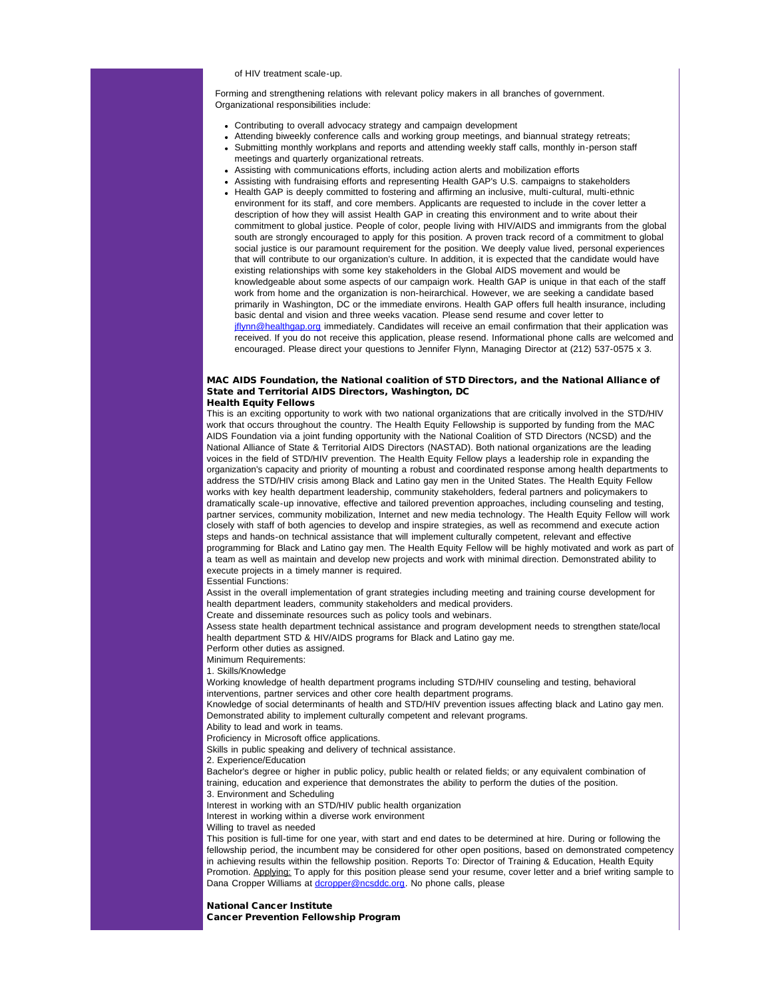#### of HIV treatment scale-up.

Forming and strengthening relations with relevant policy makers in all branches of government. Organizational responsibilities include:

- Contributing to overall advocacy strategy and campaign development
- Attending biweekly conference calls and working group meetings, and biannual strategy retreats; Submitting monthly workplans and reports and attending weekly staff calls, monthly in-person staff meetings and quarterly organizational retreats.
- Assisting with communications efforts, including action alerts and mobilization efforts
- Assisting with fundraising efforts and representing Health GAP's U.S. campaigns to stakeholders
- Health GAP is deeply committed to fostering and affirming an inclusive, multi-cultural, multi-ethnic environment for its staff, and core members. Applicants are requested to include in the cover letter a description of how they will assist Health GAP in creating this environment and to write about their commitment to global justice. People of color, people living with HIV/AIDS and immigrants from the global south are strongly encouraged to apply for this position. A proven track record of a commitment to global social justice is our paramount requirement for the position. We deeply value lived, personal experiences that will contribute to our organization's culture. In addition, it is expected that the candidate would have existing relationships with some key stakeholders in the Global AIDS movement and would be knowledgeable about some aspects of our campaign work. Health GAP is unique in that each of the staff work from home and the organization is non-heirarchical. However, we are seeking a candidate based primarily in Washington, DC or the immediate environs. Health GAP offers full health insurance, including basic dental and vision and three weeks vacation. Please send resume and cover letter to iflynn@healthgap.org immediately. Candidates will receive an email confirmation that their application was received. If you do not receive this application, please resend. Informational phone calls are welcomed and encouraged. Please direct your questions to Jennifer Flynn, Managing Director at (212) 537-0575 x 3.

#### MAC AIDS Foundation, the National coalition of STD Directors, and the National Alliance of State and Territorial AIDS Directors, Washington, DC Health Equity Fellows

This is an exciting opportunity to work with two national organizations that are critically involved in the STD/HIV work that occurs throughout the country. The Health Equity Fellowship is supported by funding from the MAC AIDS Foundation via a joint funding opportunity with the National Coalition of STD Directors (NCSD) and the National Alliance of State & Territorial AIDS Directors (NASTAD). Both national organizations are the leading voices in the field of STD/HIV prevention. The Health Equity Fellow plays a leadership role in expanding the organization's capacity and priority of mounting a robust and coordinated response among health departments to address the STD/HIV crisis among Black and Latino gay men in the United States. The Health Equity Fellow works with key health department leadership, community stakeholders, federal partners and policymakers to dramatically scale-up innovative, effective and tailored prevention approaches, including counseling and testing, partner services, community mobilization, Internet and new media technology. The Health Equity Fellow will work closely with staff of both agencies to develop and inspire strategies, as well as recommend and execute action steps and hands-on technical assistance that will implement culturally competent, relevant and effective programming for Black and Latino gay men. The Health Equity Fellow will be highly motivated and work as part of a team as well as maintain and develop new projects and work with minimal direction. Demonstrated ability to execute projects in a timely manner is required.

#### Essential Functions:

Assist in the overall implementation of grant strategies including meeting and training course development for health department leaders, community stakeholders and medical providers.

Create and disseminate resources such as policy tools and webinars.

Assess state health department technical assistance and program development needs to strengthen state/local health department STD & HIV/AIDS programs for Black and Latino gay me.

Perform other duties as assigned.

Minimum Requirements:

1. Skills/Knowledge

Working knowledge of health department programs including STD/HIV counseling and testing, behavioral interventions, partner services and other core health department programs.

Knowledge of social determinants of health and STD/HIV prevention issues affecting black and Latino gay men. Demonstrated ability to implement culturally competent and relevant programs.

Ability to lead and work in teams.

Proficiency in Microsoft office applications.

Skills in public speaking and delivery of technical assistance.

2. Experience/Education

Bachelor's degree or higher in public policy, public health or related fields; or any equivalent combination of training, education and experience that demonstrates the ability to perform the duties of the position.

3. Environment and Scheduling

Interest in working with an STD/HIV public health organization

Interest in working within a diverse work environment

Willing to travel as needed

This position is full-time for one year, with start and end dates to be determined at hire. During or following the fellowship period, the incumbent may be considered for other open positions, based on demonstrated competency in achieving results within the fellowship position. Reports To: Director of Training & Education, Health Equity Promotion. Applying: To apply for this position please send your resume, cover letter and a brief writing sample to Dana Cropper Williams at [dcropper@ncsddc.org.](mailto:dcropper@ncsddc.org) No phone calls, please

#### National Cancer Institute

Cancer Prevention Fellowship Program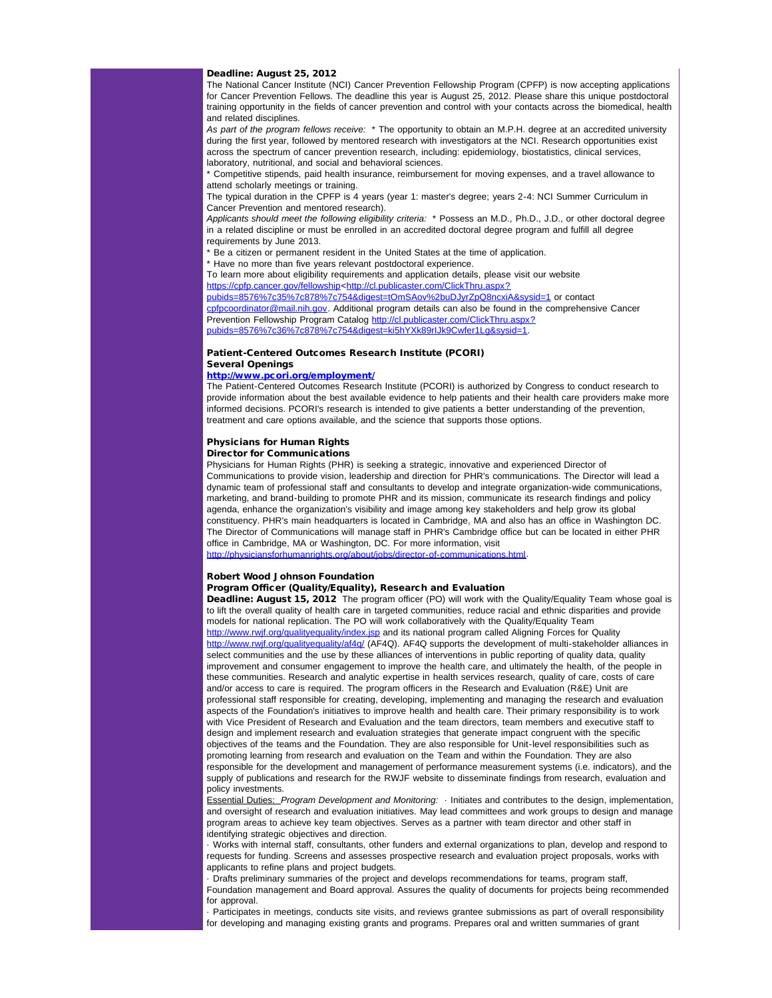#### Deadline: August 25, 2012

The National Cancer Institute (NCI) Cancer Prevention Fellowship Program (CPFP) is now accepting applications for Cancer Prevention Fellows. The deadline this year is August 25, 2012. Please share this unique postdoctoral training opportunity in the fields of cancer prevention and control with your contacts across the biomedical, health and related disciplines.

*As part of the program fellows receive:* \* The opportunity to obtain an M.P.H. degree at an accredited university during the first year, followed by mentored research with investigators at the NCI. Research opportunities exist across the spectrum of cancer prevention research, including: epidemiology, biostatistics, clinical services, laboratory, nutritional, and social and behavioral sciences.

\* Competitive stipends, paid health insurance, reimbursement for moving expenses, and a travel allowance to attend scholarly meetings or training.

The typical duration in the CPFP is 4 years (year 1: master's degree; years 2-4: NCI Summer Curriculum in Cancer Prevention and mentored research).

*Applicants should meet the following eligibility criteria:* \* Possess an M.D., Ph.D., J.D., or other doctoral degree in a related discipline or must be enrolled in an accredited doctoral degree program and fulfill all degree requirements by June 2013.

\* Be a citizen or permanent resident in the United States at the time of application.

\* Have no more than five years relevant postdoctoral experience.

To learn more about eligibility requirements and application details, please visit our website [https://cpfp.cancer.gov/fellowship](http://r20.rs6.net/tn.jsp?e=0019l1XMXRMQ6scSDJwAXy8Qv1N9W5ZOIv1MC6tVPxB0m2fQ6onk3CKe2-LGNFfct_Lhph5aBKAwQCGId-dQqQOPneBkJeGAqBUgU7ZaAoFc5AFcM1dPa8hab_12hP91kxI)<[http://cl.publicaster.com/ClickThru.aspx?](http://r20.rs6.net/tn.jsp?e=0019l1XMXRMQ6vawd_8JX28OkoPg9LwgmbrSxi9REwuSFLisMMBIuTeOuBcOOyh8kT-PrH5P6qRQECPunfzJFHkLsq7aDXkMRTBcg6xuXoh92ZxgP-bNuN9LPugT_SM2UdsyJY1gl_8dcliJXKDCLoNZVry2k-Z8gUtML86ZRFyEVdipOnQNCLBd_puZl57i_gklEeGTyNglb-r8eO13GxFMptKS-6fhVkDqI8_vJX0EPLh8bLPx94m8QcWt49M0n-O)

[pubids=8576%7c35%7c878%7c754&digest=tOmSAov%2buDJyrZpQ8ncxiA&sysid=1](http://r20.rs6.net/tn.jsp?e=0019l1XMXRMQ6vawd_8JX28OkoPg9LwgmbrSxi9REwuSFLisMMBIuTeOuBcOOyh8kT-PrH5P6qRQECPunfzJFHkLsq7aDXkMRTBcg6xuXoh92ZxgP-bNuN9LPugT_SM2UdsyJY1gl_8dcliJXKDCLoNZVry2k-Z8gUtML86ZRFyEVdipOnQNCLBd_puZl57i_gklEeGTyNglb-r8eO13GxFMptKS-6fhVkDqI8_vJX0EPLh8bLPx94m8QcWt49M0n-O) or contact

[cpfpcoordinator@mail.nih.gov.](mailto:cpfpcoordinator@mail.nih.gov) Additional program details can also be found in the comprehensive Cancer Prevention Fellowship Program Catalog [http://cl.publicaster.com/ClickThru.aspx?](http://r20.rs6.net/tn.jsp?e=0019l1XMXRMQ6tUlTNxtjcpz5YUT4FR2F5l5PYfaBEcgtfrLr3fQ3bc4bPO-7doOLSkQN2XZPBa5FzfI-ARHvr0Z2_WYHKgnXjYkCsXYluOtHbtpcQBL1kEyHig_YAKsGffw06rpHe1aA05OoojykiYujziBusTCudNpc-fnSQRZtk1EGOUgD3c8FMHkRePBO6Lrrrt5aTolaW6roMbaDfVkO-3orwESL4GEz5r1JEXieBW6rJGdB16OQ==) [pubids=8576%7c36%7c878%7c754&digest=ki5hYXk89rIJk9Cwfer1Lg&sysid=1.](http://r20.rs6.net/tn.jsp?e=0019l1XMXRMQ6tUlTNxtjcpz5YUT4FR2F5l5PYfaBEcgtfrLr3fQ3bc4bPO-7doOLSkQN2XZPBa5FzfI-ARHvr0Z2_WYHKgnXjYkCsXYluOtHbtpcQBL1kEyHig_YAKsGffw06rpHe1aA05OoojykiYujziBusTCudNpc-fnSQRZtk1EGOUgD3c8FMHkRePBO6Lrrrt5aTolaW6roMbaDfVkO-3orwESL4GEz5r1JEXieBW6rJGdB16OQ==)

#### Patient-Centered Outcomes Research Institute (PCORI)

#### Several Openings

#### [http://www.pcori.org/employment/](http://r20.rs6.net/tn.jsp?e=0019l1XMXRMQ6s38ekH2lM3QOyd9G8SU9iBB6MxySOO1981N2e4y8gcVtq1-dyn0lfISGa46RuldnL2-kkgYcyll15LMjBEGGXkKSLvqyqoHaWT3uEpcG1jrMu8U3upIaN-)

The Patient-Centered Outcomes Research Institute (PCORI) is authorized by Congress to conduct research to provide information about the best available evidence to help patients and their health care providers make more informed decisions. PCORI's research is intended to give patients a better understanding of the prevention, treatment and care options available, and the science that supports those options.

## Physicians for Human Rights

## Director for Communications

Physicians for Human Rights (PHR) is seeking a strategic, innovative and experienced Director of Communications to provide vision, leadership and direction for PHR's communications. The Director will lead a dynamic team of professional staff and consultants to develop and integrate organization-wide communications, marketing, and brand-building to promote PHR and its mission, communicate its research findings and policy agenda, enhance the organization's visibility and image among key stakeholders and help grow its global constituency. PHR's main headquarters is located in Cambridge, MA and also has an office in Washington DC. The Director of Communications will manage staff in PHR's Cambridge office but can be located in either PHR office in Cambridge, MA or Washington, DC. For more information, visit

[http://physiciansforhumanrights.org/about/jobs/director-of-communications.html](http://r20.rs6.net/tn.jsp?e=0019l1XMXRMQ6sTGd5RgQvGVC9OT_EkxboTfwa_eFXTn7l6dXYWXQwVjbhqxUiB-sYXY_Rjqx3qKOhRbvO48qb-gtRU6DeSRh6DfDiWDLCiPKBRCGtLvUZfAW98zk527Aw4_AuacuFq56nwC2Y7oFph3W-X8-B2r-YPivCSohWsBtuvWbIz9SCL9mzMAVCXeOIb).

#### Robert Wood Johnson Foundation

## Program Officer (Quality/Equality), Research and Evaluation

Deadline: August 15, 2012 The program officer (PO) will work with the Quality/Equality Team whose goal is to lift the overall quality of health care in targeted communities, reduce racial and ethnic disparities and provide models for national replication. The PO will work collaboratively with the Quality/Equality Team http://www.rwif.org/qualityequality/index.jsp and its national program called Aligning Forces for Quality [http://www.rwjf.org/qualityequality/af4q/](http://r20.rs6.net/tn.jsp?e=0019l1XMXRMQ6sl_0YzmXXJLEIpIuP7kmUfT5D9SBYF36KIHB1Wlg2FEpYJrJ_MPsb2JU-c80Dxnk9qXyLFUZhcrG9DG2FQBw-t3V-exUBLh2wD_29atjfn2SAS_w__93DFZDJMTuJMuhw=) (AF4Q). AF4Q supports the development of multi-stakeholder alliances in select communities and the use by these alliances of interventions in public reporting of quality data, quality improvement and consumer engagement to improve the health care, and ultimately the health, of the people in these communities. Research and analytic expertise in health services research, quality of care, costs of care and/or access to care is required. The program officers in the Research and Evaluation (R&E) Unit are professional staff responsible for creating, developing, implementing and managing the research and evaluation aspects of the Foundation's initiatives to improve health and health care. Their primary responsibility is to work with Vice President of Research and Evaluation and the team directors, team members and executive staff to design and implement research and evaluation strategies that generate impact congruent with the specific objectives of the teams and the Foundation. They are also responsible for Unit-level responsibilities such as promoting learning from research and evaluation on the Team and within the Foundation. They are also responsible for the development and management of performance measurement systems (i.e. indicators), and the supply of publications and research for the RWJF website to disseminate findings from research, evaluation and policy investments.

Essential Duties: *Program Development and Monitoring:* · Initiates and contributes to the design, implementation, and oversight of research and evaluation initiatives. May lead committees and work groups to design and manage program areas to achieve key team objectives. Serves as a partner with team director and other staff in identifying strategic objectives and direction.

· Works with internal staff, consultants, other funders and external organizations to plan, develop and respond to requests for funding. Screens and assesses prospective research and evaluation project proposals, works with applicants to refine plans and project budgets.

· Drafts preliminary summaries of the project and develops recommendations for teams, program staff, Foundation management and Board approval. Assures the quality of documents for projects being recommended for approval.

· Participates in meetings, conducts site visits, and reviews grantee submissions as part of overall responsibility for developing and managing existing grants and programs. Prepares oral and written summaries of grant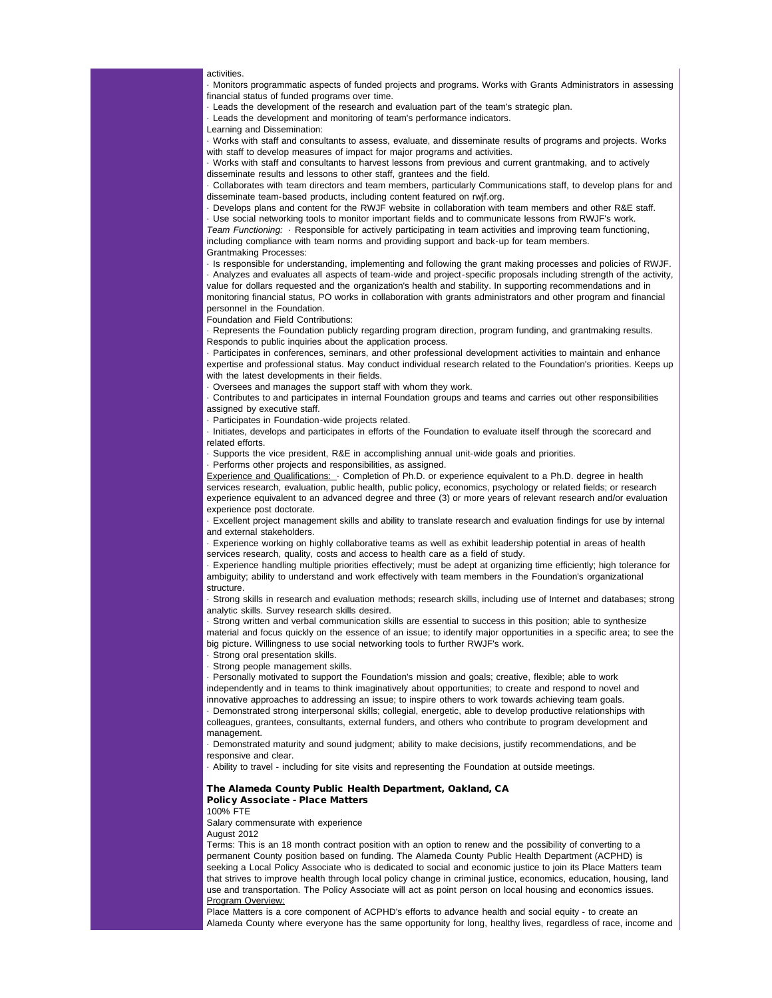## activities.

· Monitors programmatic aspects of funded projects and programs. Works with Grants Administrators in assessing financial status of funded programs over time.

· Leads the development of the research and evaluation part of the team's strategic plan.

· Leads the development and monitoring of team's performance indicators.

Learning and Dissemination:

· Works with staff and consultants to assess, evaluate, and disseminate results of programs and projects. Works with staff to develop measures of impact for major programs and activities.

· Works with staff and consultants to harvest lessons from previous and current grantmaking, and to actively disseminate results and lessons to other staff, grantees and the field.

· Collaborates with team directors and team members, particularly Communications staff, to develop plans for and disseminate team-based products, including content featured on rwjf.org.

· Develops plans and content for the RWJF website in collaboration with team members and other R&E staff. · Use social networking tools to monitor important fields and to communicate lessons from RWJF's work. *Team Functioning:* · Responsible for actively participating in team activities and improving team functioning, including compliance with team norms and providing support and back-up for team members.

#### Grantmaking Processes:

· Is responsible for understanding, implementing and following the grant making processes and policies of RWJF. · Analyzes and evaluates all aspects of team-wide and project-specific proposals including strength of the activity, value for dollars requested and the organization's health and stability. In supporting recommendations and in monitoring financial status, PO works in collaboration with grants administrators and other program and financial personnel in the Foundation.

Foundation and Field Contributions:

· Represents the Foundation publicly regarding program direction, program funding, and grantmaking results. Responds to public inquiries about the application process.

· Participates in conferences, seminars, and other professional development activities to maintain and enhance expertise and professional status. May conduct individual research related to the Foundation's priorities. Keeps up with the latest developments in their fields.

· Oversees and manages the support staff with whom they work.

· Contributes to and participates in internal Foundation groups and teams and carries out other responsibilities assigned by executive staff.

· Participates in Foundation-wide projects related.

· Initiates, develops and participates in efforts of the Foundation to evaluate itself through the scorecard and related efforts.

· Supports the vice president, R&E in accomplishing annual unit-wide goals and priorities.

· Performs other projects and responsibilities, as assigned.

Experience and Qualifications: · Completion of Ph.D. or experience equivalent to a Ph.D. degree in health services research, evaluation, public health, public policy, economics, psychology or related fields; or research experience equivalent to an advanced degree and three (3) or more years of relevant research and/or evaluation experience post doctorate.

· Excellent project management skills and ability to translate research and evaluation findings for use by internal and external stakeholders.

· Experience working on highly collaborative teams as well as exhibit leadership potential in areas of health services research, quality, costs and access to health care as a field of study.

· Experience handling multiple priorities effectively; must be adept at organizing time efficiently; high tolerance for ambiguity; ability to understand and work effectively with team members in the Foundation's organizational structure.

· Strong skills in research and evaluation methods; research skills, including use of Internet and databases; strong analytic skills. Survey research skills desired.

· Strong written and verbal communication skills are essential to success in this position; able to synthesize material and focus quickly on the essence of an issue; to identify major opportunities in a specific area; to see the big picture. Willingness to use social networking tools to further RWJF's work.

· Strong oral presentation skills.

· Strong people management skills.

· Personally motivated to support the Foundation's mission and goals; creative, flexible; able to work

independently and in teams to think imaginatively about opportunities; to create and respond to novel and innovative approaches to addressing an issue; to inspire others to work towards achieving team goals. · Demonstrated strong interpersonal skills; collegial, energetic, able to develop productive relationships with colleagues, grantees, consultants, external funders, and others who contribute to program development and management.

· Demonstrated maturity and sound judgment; ability to make decisions, justify recommendations, and be responsive and clear.

· Ability to travel - including for site visits and representing the Foundation at outside meetings.

## The Alameda County Public Health Department, Oakland, CA Policy Associate - Place Matters

100% FTE

Salary commensurate with experience

August 2012

Terms: This is an 18 month contract position with an option to renew and the possibility of converting to a permanent County position based on funding. The Alameda County Public Health Department (ACPHD) is seeking a Local Policy Associate who is dedicated to social and economic justice to join its Place Matters team that strives to improve health through local policy change in criminal justice, economics, education, housing, land use and transportation. The Policy Associate will act as point person on local housing and economics issues. Program Overview:

Place Matters is a core component of ACPHD's efforts to advance health and social equity - to create an Alameda County where everyone has the same opportunity for long, healthy lives, regardless of race, income and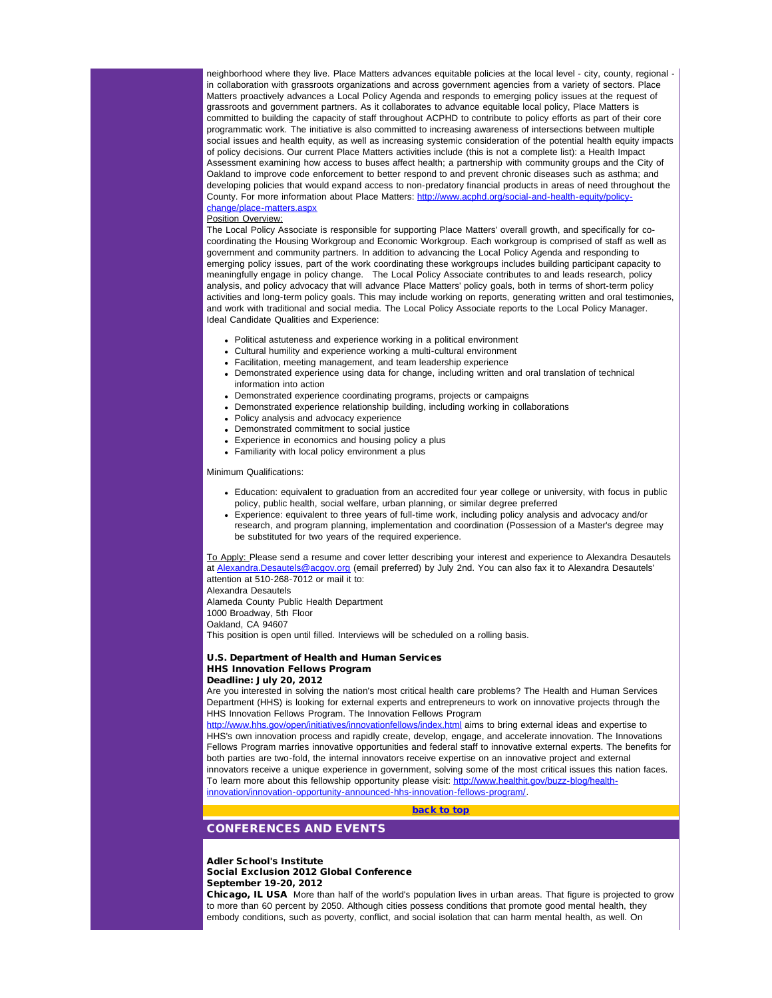neighborhood where they live. Place Matters advances equitable policies at the local level - city, county, regional in collaboration with grassroots organizations and across government agencies from a variety of sectors. Place Matters proactively advances a Local Policy Agenda and responds to emerging policy issues at the request of grassroots and government partners. As it collaborates to advance equitable local policy, Place Matters is committed to building the capacity of staff throughout ACPHD to contribute to policy efforts as part of their core programmatic work. The initiative is also committed to increasing awareness of intersections between multiple social issues and health equity, as well as increasing systemic consideration of the potential health equity impacts of policy decisions. Our current Place Matters activities include (this is not a complete list): a Health Impact Assessment examining how access to buses affect health; a partnership with community groups and the City of Oakland to improve code enforcement to better respond to and prevent chronic diseases such as asthma; and developing policies that would expand access to non-predatory financial products in areas of need throughout the County. For more information about Place Matters: [http://www.acphd.org/social-and-health-equity/policy](http://r20.rs6.net/tn.jsp?e=0019l1XMXRMQ6s_U3Bg4ITEryWdQDtWCf9d4gNXugEjIo3VxLiBzwV3iMRq98b1S46H5cjLHcC6xUR9D9E-0xCik4Fqbq_13znp8Y06ABp0xYb6QektzbwME2FAOkl5GFA93GCdXv0L-3yDMTj14YzEmCb9IMvS1Fh0ClSd3fzvRcW1UzyXIhpjy3kuSLRFj_u0)[change/place-matters.aspx](http://r20.rs6.net/tn.jsp?e=0019l1XMXRMQ6s_U3Bg4ITEryWdQDtWCf9d4gNXugEjIo3VxLiBzwV3iMRq98b1S46H5cjLHcC6xUR9D9E-0xCik4Fqbq_13znp8Y06ABp0xYb6QektzbwME2FAOkl5GFA93GCdXv0L-3yDMTj14YzEmCb9IMvS1Fh0ClSd3fzvRcW1UzyXIhpjy3kuSLRFj_u0)

## Position Overview:

The Local Policy Associate is responsible for supporting Place Matters' overall growth, and specifically for cocoordinating the Housing Workgroup and Economic Workgroup. Each workgroup is comprised of staff as well as government and community partners. In addition to advancing the Local Policy Agenda and responding to emerging policy issues, part of the work coordinating these workgroups includes building participant capacity to meaningfully engage in policy change. The Local Policy Associate contributes to and leads research, policy analysis, and policy advocacy that will advance Place Matters' policy goals, both in terms of short-term policy activities and long-term policy goals. This may include working on reports, generating written and oral testimonies, and work with traditional and social media. The Local Policy Associate reports to the Local Policy Manager. Ideal Candidate Qualities and Experience:

- Political astuteness and experience working in a political environment
- Cultural humility and experience working a multi-cultural environment
- Facilitation, meeting management, and team leadership experience
- Demonstrated experience using data for change, including written and oral translation of technical information into action
- Demonstrated experience coordinating programs, projects or campaigns
- Demonstrated experience relationship building, including working in collaborations
- Policy analysis and advocacy experience
- Demonstrated commitment to social justice
- Experience in economics and housing policy a plus
- Familiarity with local policy environment a plus
- 

## Minimum Qualifications:

- Education: equivalent to graduation from an accredited four year college or university, with focus in public policy, public health, social welfare, urban planning, or similar degree preferred
- Experience: equivalent to three years of full-time work, including policy analysis and advocacy and/or research, and program planning, implementation and coordination (Possession of a Master's degree may be substituted for two years of the required experience.

To Apply: Please send a resume and cover letter describing your interest and experience to Alexandra Desautels at [Alexandra.Desautels@acgov.org](mailto:Alexandra.Desautels@acgov.org) (email preferred) by July 2nd. You can also fax it to Alexandra Desautels' attention at 510-268-7012 or mail it to:

Alexandra Desautels Alameda County Public Health Department 1000 Broadway, 5th Floor Oakland, CA 94607 This position is open until filled. Interviews will be scheduled on a rolling basis.

### <span id="page-8-0"></span>U.S. Department of Health and Human Services HHS Innovation Fellows Program Deadline: July 20, 2012

Are you interested in solving the nation's most critical health care problems? The Health and Human Services Department (HHS) is looking for external experts and entrepreneurs to work on innovative projects through the HHS Innovation Fellows Program. The Innovation Fellows Program

[http://www.hhs.gov/open/initiatives/innovationfellows/index.html](http://r20.rs6.net/tn.jsp?e=0019l1XMXRMQ6sUTV0YdWPTIaL3kz7tkJ3QUlS0BQ8iFhvuc5SpZ7X2BY52Bq7PpAlUqalcZ8Xh17mjKL59LicfAF0XxvCWBq7O193CLHuV3W4cG8aC6jIZItiy3gapLHFzKNZrTCE-IKGR5BHiu7BMHD_8LqPTExzFWh4xinMxsKU=) aims to bring external ideas and expertise to HHS's own innovation process and rapidly create, develop, engage, and accelerate innovation. The Innovations Fellows Program marries innovative opportunities and federal staff to innovative external experts. The benefits for both parties are two-fold, the internal innovators receive expertise on an innovative project and external innovators receive a unique experience in government, solving some of the most critical issues this nation faces. To learn more about this fellowship opportunity please visit: [http://www.healthit.gov/buzz-blog/health](http://r20.rs6.net/tn.jsp?e=0019l1XMXRMQ6vpvVw3eNI6mriwIr2Fs5oqs32niIb08mY56gcXhpuTNf2E9OIiqJjVmXe0czn3cGi3b1dznBlKpBHf2qnIrV8pg5ObvZHDRp7Yad6IoyTSVdntg7w_kkSEp0STwebgmRkWX3yaV9nqMf8rKUS-gQK6WzvRr0OsuwERo16qAMZTtdJHmTnkjf3cdkAJjJC64VH4L5M2jS3pL8ZP-kGIb9G2BpBaPfIH-GcYKDyuBP_aoQ==)[innovation/innovation-opportunity-announced-hhs-innovation-fellows-program/](http://r20.rs6.net/tn.jsp?e=0019l1XMXRMQ6vpvVw3eNI6mriwIr2Fs5oqs32niIb08mY56gcXhpuTNf2E9OIiqJjVmXe0czn3cGi3b1dznBlKpBHf2qnIrV8pg5ObvZHDRp7Yad6IoyTSVdntg7w_kkSEp0STwebgmRkWX3yaV9nqMf8rKUS-gQK6WzvRr0OsuwERo16qAMZTtdJHmTnkjf3cdkAJjJC64VH4L5M2jS3pL8ZP-kGIb9G2BpBaPfIH-GcYKDyuBP_aoQ==).

#### [back to top](#page-0-3)

# CONFERENCES AND EVENTS

Adler School's Institute Social Exclusion 2012 Global Conference September 19-20, 2012

Chicago, IL USA More than half of the world's population lives in urban areas. That figure is projected to grow to more than 60 percent by 2050. Although cities possess conditions that promote good mental health, they embody conditions, such as poverty, conflict, and social isolation that can harm mental health, as well. On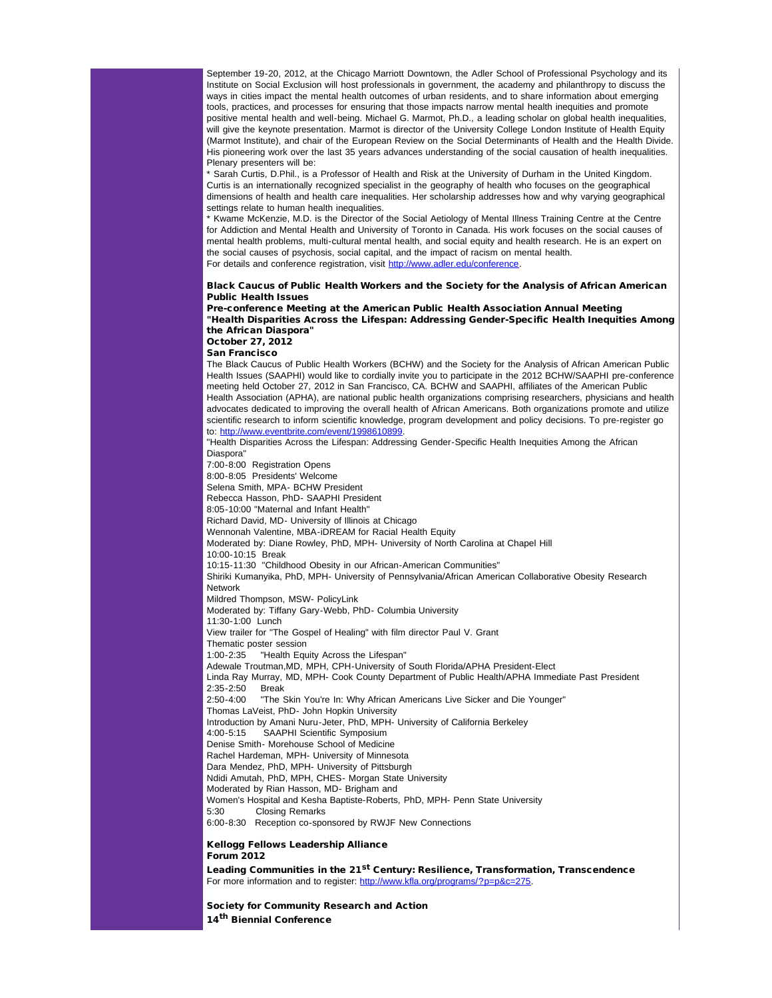September 19-20, 2012, at the Chicago Marriott Downtown, the Adler School of Professional Psychology and its Institute on Social Exclusion will host professionals in government, the academy and philanthropy to discuss the ways in cities impact the mental health outcomes of urban residents, and to share information about emerging tools, practices, and processes for ensuring that those impacts narrow mental health inequities and promote positive mental health and well-being. Michael G. Marmot, Ph.D., a leading scholar on global health inequalities, will give the keynote presentation. Marmot is director of the University College London Institute of Health Equity (Marmot Institute), and chair of the European Review on the Social Determinants of Health and the Health Divide. His pioneering work over the last 35 years advances understanding of the social causation of health inequalities. Plenary presenters will be:

\* Sarah Curtis, D.Phil., is a Professor of Health and Risk at the University of Durham in the United Kingdom. Curtis is an internationally recognized specialist in the geography of health who focuses on the geographical dimensions of health and health care inequalities. Her scholarship addresses how and why varying geographical settings relate to human health inequalities.

\* Kwame McKenzie, M.D. is the Director of the Social Aetiology of Mental Illness Training Centre at the Centre for Addiction and Mental Health and University of Toronto in Canada. His work focuses on the social causes of mental health problems, multi-cultural mental health, and social equity and health research. He is an expert on the social causes of psychosis, social capital, and the impact of racism on mental health. For details and conference registration, visit [http://www.adler.edu/conference.](http://r20.rs6.net/tn.jsp?e=0019l1XMXRMQ6s8RQoY-UoUuMYW0m0G5-Fwu437o5ZBOBfzQ3djiHeLu1L_RhcDo_ZIcYzAh8JN8sLjGMnCunbO4QPgP6pNB98UgmEN2EnZhXeJosymgSijwg==)

## Black Caucus of Public Health Workers and the Society for the Analysis of African American Public Health Issues

Pre-conference Meeting at the American Public Health Association Annual Meeting "Health Disparities Across the Lifespan: Addressing Gender-Specific Health Inequities Among the African Diaspora" October 27, 2012

San Francisco

The Black Caucus of Public Health Workers (BCHW) and the Society for the Analysis of African American Public Health Issues (SAAPHI) would like to cordially invite you to participate in the 2012 BCHW/SAAPHI pre-conference meeting held October 27, 2012 in San Francisco, CA. BCHW and SAAPHI, affiliates of the American Public Health Association (APHA), are national public health organizations comprising researchers, physicians and health advocates dedicated to improving the overall health of African Americans. Both organizations promote and utilize scientific research to inform scientific knowledge, program development and policy decisions. To pre-register go to: [http://www.eventbrite.com/event/1998610899.](http://r20.rs6.net/tn.jsp?e=0019l1XMXRMQ6ugAiaLlHIiNPbtXPZvOdoyxmvdw5nVKGd-IhdIUUL8ieQNDfSrUaxh7gd7tveCmBnYid9YsMOTNG1yxZ61bMUJ8KhZPVHWTSofu9AZ0vFJUlwP46xx8E8V1urgYPjotK8=)

"Health Disparities Across the Lifespan: Addressing Gender-Specific Health Inequities Among the African Diaspora" 7:00-8:00 Registration Opens 8:00-8:05 Presidents' Welcome Selena Smith, MPA- BCHW President Rebecca Hasson, PhD- SAAPHI President

8:05-10:00 "Maternal and Infant Health"

Richard David, MD- University of Illinois at Chicago

Wennonah Valentine, MBA-iDREAM for Racial Health Equity

Moderated by: Diane Rowley, PhD, MPH- University of North Carolina at Chapel Hill 10:00-10:15 Break

10:15-11:30 "Childhood Obesity in our African-American Communities"

Shiriki Kumanyika, PhD, MPH- University of Pennsylvania/African American Collaborative Obesity Research

Network

Mildred Thompson, MSW- PolicyLink

Moderated by: Tiffany Gary-Webb, PhD- Columbia University

11:30-1:00 Lunch

View trailer for "The Gospel of Healing" with film director Paul V. Grant

Thematic poster session 1:00-2:35 "Health Equity Across the Lifespan"

Adewale Troutman,MD, MPH, CPH-University of South Florida/APHA President-Elect

Linda Ray Murray, MD, MPH- Cook County Department of Public Health/APHA Immediate Past President 2:35-2:50 Break<br>2:50-4:00 "The S

"The Skin You're In: Why African Americans Live Sicker and Die Younger"

Thomas LaVeist, PhD- John Hopkin University

Introduction by Amani Nuru-Jeter, PhD, MPH- University of California Berkeley

SAAPHI Scientific Symposium

Denise Smith- Morehouse School of Medicine

Rachel Hardeman, MPH- University of Minnesota

Dara Mendez, PhD, MPH- University of Pittsburgh

Ndidi Amutah, PhD, MPH, CHES- Morgan State University Moderated by Rian Hasson, MD- Brigham and

Women's Hospital and Kesha Baptiste-Roberts, PhD, MPH- Penn State University<br>5:30 Closing Remarks

Closing Remarks

6:00-8:30 Reception co-sponsored by RWJF New Connections

## Kellogg Fellows Leadership Alliance Forum 2012

Leading Communities in the 21<sup>st</sup> Century: Resilience, Transformation, Transcendence For more information and to register: [http://www.kfla.org/programs/?p=p&c=275](http://r20.rs6.net/tn.jsp?e=0019l1XMXRMQ6txzC9bEkFUy4H1hqGWsEHa_QNjJ6k5Jr8UnPeilIhBSC85HgwDJNndeSDQwlchG9vOSfKkGNJZbJzUZhBcEaqpqo9aBuESK-lEBoEmblDgHuS__XXLcbHrd4ll0Bei0nWZ0DY-QIHGCQ==).

Society for Community Research and Action 14<sup>th</sup> Biennial Conference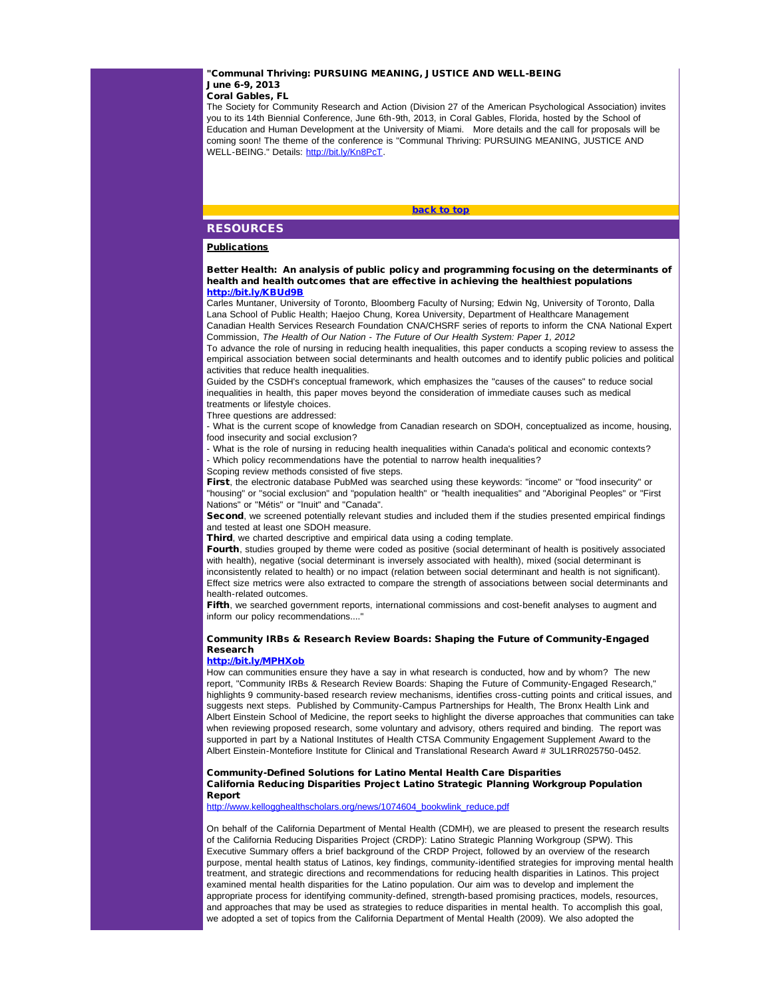# <span id="page-10-0"></span>"Communal Thriving: PURSUING MEANING, JUSTICE AND WELL-BEING June 6-9, 2013

Coral Gables, FL

The Society for Community Research and Action (Division 27 of the American Psychological Association) invites you to its 14th Biennial Conference, June 6th-9th, 2013, in Coral Gables, Florida, hosted by the School of Education and Human Development at the University of Miami. More details and the call for proposals will be coming soon! The theme of the conference is "Communal Thriving: PURSUING MEANING, JUSTICE AND WELL-BEING." Details: [http://bit.ly/Kn8PcT.](http://r20.rs6.net/tn.jsp?e=0019l1XMXRMQ6tztff0AUuM_4b_GycR3ZZwP1TiOdegwZR5ZzjdbkgURuVT4TZGRUmMFKDF-hUmgrnHa2IsrAQ2BBAdPqMlnTLF0aCnc7AULlA=)

## RESOURCES

# **Publications**

## Better Health: An analysis of public policy and programming focusing on the determinants of health and health outcomes that are effective in achieving the healthiest populations [http://bit.ly/KBUd9B](http://r20.rs6.net/tn.jsp?e=0019l1XMXRMQ6sk3pBvAFdighWuQljj7ZWt_v3f1DwVfxsqN7Ln0cwJgT28ios9YM2iihT09JiwzwDHgqPKjGImjUGHlMcEDtrAMOSVqKUnSe4=)

[back to top](#page-0-3)

Carles Muntaner, University of Toronto, Bloomberg Faculty of Nursing; Edwin Ng, University of Toronto, Dalla Lana School of Public Health; Haejoo Chung, Korea University, Department of Healthcare Management Canadian Health Services Research Foundation CNA/CHSRF series of reports to inform the CNA National Expert Commission, *The Health of Our Nation - The Future of Our Health System: Paper 1, 2012*

To advance the role of nursing in reducing health inequalities, this paper conducts a scoping review to assess the empirical association between social determinants and health outcomes and to identify public policies and political activities that reduce health inequalities.

Guided by the CSDH's conceptual framework, which emphasizes the "causes of the causes" to reduce social inequalities in health, this paper moves beyond the consideration of immediate causes such as medical treatments or lifestyle choices.

Three questions are addressed:

- What is the current scope of knowledge from Canadian research on SDOH, conceptualized as income, housing, food insecurity and social exclusion?

- What is the role of nursing in reducing health inequalities within Canada's political and economic contexts? - Which policy recommendations have the potential to narrow health inequalities?

Scoping review methods consisted of five steps.

First, the electronic database PubMed was searched using these keywords: "income" or "food insecurity" or "housing" or "social exclusion" and "population health" or "health inequalities" and "Aboriginal Peoples" or "First Nations" or "Métis" or "Inuit" and "Canada".

Second, we screened potentially relevant studies and included them if the studies presented empirical findings and tested at least one SDOH measure.

Third, we charted descriptive and empirical data using a coding template.

Fourth, studies grouped by theme were coded as positive (social determinant of health is positively associated with health), negative (social determinant is inversely associated with health), mixed (social determinant is inconsistently related to health) or no impact (relation between social determinant and health is not significant). Effect size metrics were also extracted to compare the strength of associations between social determinants and health-related outcomes.

Fifth, we searched government reports, international commissions and cost-benefit analyses to augment and inform our policy recommendations...."

# Community IRBs & Research Review Boards: Shaping the Future of Community-Engaged Research

## [http://bit.ly/MPHXob](http://r20.rs6.net/tn.jsp?e=0019l1XMXRMQ6sCGZ0LEFMznOW0OrXhiIctrm2FiSnhDec5ECqUm06sn0Q6v09ZijI5bF3MduPhUG9x234Ejavx_oSG1QZNZzLok3LqB-j4578=)

How can communities ensure they have a say in what research is conducted, how and by whom? The new report, "Community IRBs & Research Review Boards: Shaping the Future of Community-Engaged Research," highlights 9 community-based research review mechanisms, identifies cross-cutting points and critical issues, and suggests next steps. Published by Community-Campus Partnerships for Health, The Bronx Health Link and Albert Einstein School of Medicine, the report seeks to highlight the diverse approaches that communities can take when reviewing proposed research, some voluntary and advisory, others required and binding. The report was supported in part by a National Institutes of Health CTSA Community Engagement Supplement Award to the Albert Einstein-Montefiore Institute for Clinical and Translational Research Award # 3UL1RR025750-0452.

#### Community-Defined Solutions for Latino Mental Health Care Disparities California Reducing Disparities Project Latino Strategic Planning Workgroup Population Report

[http://www.kellogghealthscholars.org/news/1074604\\_bookwlink\\_reduce.pdf](http://r20.rs6.net/tn.jsp?e=0019l1XMXRMQ6tjw37YxLgBHIpLOZHAqGGfSbcxcCDWqqubG60PIVQGYioEYnDCM15CwxkXfwk4El11Z-Qsz-j3eDhLR2uYIeL720VENoLvBdvJEduZT-mnYCdCIHKfgzUz3egRntvVzEZxqfQyxreRQNVzD38q3D_ddZgKIll7US8=)

On behalf of the California Department of Mental Health (CDMH), we are pleased to present the research results of the California Reducing Disparities Project (CRDP): Latino Strategic Planning Workgroup (SPW). This Executive Summary offers a brief background of the CRDP Project, followed by an overview of the research purpose, mental health status of Latinos, key findings, community-identified strategies for improving mental health treatment, and strategic directions and recommendations for reducing health disparities in Latinos. This project examined mental health disparities for the Latino population. Our aim was to develop and implement the appropriate process for identifying community-defined, strength-based promising practices, models, resources, and approaches that may be used as strategies to reduce disparities in mental health. To accomplish this goal, we adopted a set of topics from the California Department of Mental Health (2009). We also adopted the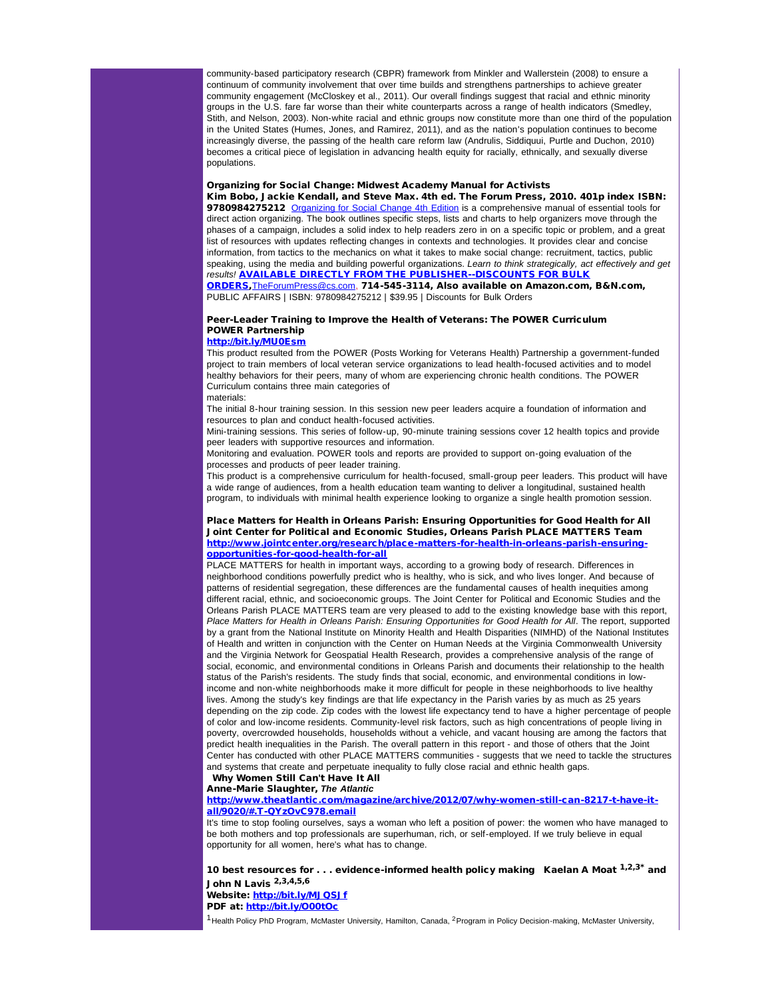community-based participatory research (CBPR) framework from Minkler and Wallerstein (2008) to ensure a continuum of community involvement that over time builds and strengthens partnerships to achieve greater community engagement (McCloskey et al., 2011). Our overall findings suggest that racial and ethnic minority groups in the U.S. fare far worse than their white counterparts across a range of health indicators (Smedley, Stith, and Nelson, 2003). Non-white racial and ethnic groups now constitute more than one third of the population in the United States (Humes, Jones, and Ramirez, 2011), and as the nation's population continues to become increasingly diverse, the passing of the health care reform law (Andrulis, Siddiquui, Purtle and Duchon, 2010) becomes a critical piece of legislation in advancing health equity for racially, ethnically, and sexually diverse populations.

## Organizing for Social Change: Midwest Academy Manual for Activists

Kim Bobo, Jackie Kendall, and Steve Max. 4th ed. The Forum Press, 2010. 401p index ISBN: 9780984275212 [Organizing for Social Change 4th Edition](http://r20.rs6.net/tn.jsp?e=0019l1XMXRMQ6sR9S458pRXUMw9j9Yaavf9ovJ0UQxYogSE1hi8ReCm3pOPtaITrU86sG-b0V0IuniqlOq68kYkSI8zqf61ut_JZOqYKev9d6bXBYFdklXHAZ7cwxKybgUWbfOI1yNwqF4=) is a comprehensive manual of essential tools for direct action organizing. The book outlines specific steps, lists and charts to help organizers move through the phases of a campaign, includes a solid index to help readers zero in on a specific topic or problem, and a great list of resources with updates reflecting changes in contexts and technologies. It provides clear and concise information, from tactics to the mechanics on what it takes to make social change: recruitment, tactics, public speaking, using the media and building powerful organizations. *Learn to think strategically, act effectively and get results!* [AVAILABLE DIRECTLY FROM THE PUBLISHER--DISCOUNTS FOR BULK](http://r20.rs6.net/tn.jsp?e=0019l1XMXRMQ6vDsyRZNg9qoBLOWHZgLP5sQ8_HdnC2T-kv6caHoO3-PU5fwcaiSlbEcTeNux3hvzMKs44mwo94HKDyyRl0trw1SADsLhktjM_o-wXXrMaLVmiSAy10nYqilqAhxNHnpq4=) [ORDERS](http://r20.rs6.net/tn.jsp?e=0019l1XMXRMQ6vDsyRZNg9qoBLOWHZgLP5sQ8_HdnC2T-kv6caHoO3-PU5fwcaiSlbEcTeNux3hvzMKs44mwo94HKDyyRl0trw1SADsLhktjM_o-wXXrMaLVmiSAy10nYqilqAhxNHnpq4=),[TheForumPress@cs.com](mailto:TheForumPress@cs.com), 714-545-3114, Also available on Amazon.com, B&N.com,

PUBLIC AFFAIRS | ISBN: 9780984275212 | \$39.95 | Discounts for Bulk Orders

# Peer-Leader Training to Improve the Health of Veterans: The POWER Curriculum POWER Partnership

#### [http://bit.ly/MU0Esm](http://r20.rs6.net/tn.jsp?e=0019l1XMXRMQ6vFkMT4ql9dp9exynUPWVCjKJfQOmZfJbLXSZHJ51zuaAJIaHh9u6hqGeupSZxPV8QaFPqKY62VxDCahOFtIcqANbMgqTOZAc8=)

This product resulted from the POWER (Posts Working for Veterans Health) Partnership a government-funded project to train members of local veteran service organizations to lead health-focused activities and to model healthy behaviors for their peers, many of whom are experiencing chronic health conditions. The POWER Curriculum contains three main categories of materials:

The initial 8-hour training session. In this session new peer leaders acquire a foundation of information and resources to plan and conduct health-focused activities.

Mini-training sessions. This series of follow-up, 90-minute training sessions cover 12 health topics and provide peer leaders with supportive resources and information.

Monitoring and evaluation. POWER tools and reports are provided to support on-going evaluation of the processes and products of peer leader training.

This product is a comprehensive curriculum for health-focused, small-group peer leaders. This product will have a wide range of audiences, from a health education team wanting to deliver a longitudinal, sustained health program, to individuals with minimal health experience looking to organize a single health promotion session.

## Place Matters for Health in Orleans Parish: Ensuring Opportunities for Good Health for All Joint Center for Political and Economic Studies, Orleans Parish PLACE MATTERS Team [http://www.jointcenter.org/research/place-matters-for-health-in-orleans-parish-ensuring](http://r20.rs6.net/tn.jsp?e=0019l1XMXRMQ6vFTErzqHPxHJrkgWERixLev33oXlkLlWzJGT6OiADzgRBCPerIfCBVu4bVUrBReEzIvhauY1f_0akW97ZBH8t8u8vVOU_u4UZFXnWeIEDzrt30RZjhMe7-Fk5W_NO1nlvNsdkrId28O5zteOw9R8E3mxU3Wj7nTbvjzTC4_lz1wyF_gn4HK0bsXhfBdfE5ZRiJIVUJChzoJvJlnn3uXLphC_UtP6woNMwOeq2boPlJwQ==)[opportunities-for-good-health-for-all](http://r20.rs6.net/tn.jsp?e=0019l1XMXRMQ6vFTErzqHPxHJrkgWERixLev33oXlkLlWzJGT6OiADzgRBCPerIfCBVu4bVUrBReEzIvhauY1f_0akW97ZBH8t8u8vVOU_u4UZFXnWeIEDzrt30RZjhMe7-Fk5W_NO1nlvNsdkrId28O5zteOw9R8E3mxU3Wj7nTbvjzTC4_lz1wyF_gn4HK0bsXhfBdfE5ZRiJIVUJChzoJvJlnn3uXLphC_UtP6woNMwOeq2boPlJwQ==)

PLACE MATTERS for health in important ways, according to a growing body of research. Differences in neighborhood conditions powerfully predict who is healthy, who is sick, and who lives longer. And because of patterns of residential segregation, these differences are the fundamental causes of health inequities among different racial, ethnic, and socioeconomic groups. The Joint Center for Political and Economic Studies and the Orleans Parish PLACE MATTERS team are very pleased to add to the existing knowledge base with this report, *Place Matters for Health in Orleans Parish: Ensuring Opportunities for Good Health for All*. The report, supported by a grant from the National Institute on Minority Health and Health Disparities (NIMHD) of the National Institutes of Health and written in conjunction with the Center on Human Needs at the Virginia Commonwealth University and the Virginia Network for Geospatial Health Research, provides a comprehensive analysis of the range of social, economic, and environmental conditions in Orleans Parish and documents their relationship to the health status of the Parish's residents. The study finds that social, economic, and environmental conditions in lowincome and non-white neighborhoods make it more difficult for people in these neighborhoods to live healthy lives. Among the study's key findings are that life expectancy in the Parish varies by as much as 25 years depending on the zip code. Zip codes with the lowest life expectancy tend to have a higher percentage of people of color and low-income residents. Community-level risk factors, such as high concentrations of people living in poverty, overcrowded households, households without a vehicle, and vacant housing are among the factors that predict health inequalities in the Parish. The overall pattern in this report - and those of others that the Joint Center has conducted with other PLACE MATTERS communities - suggests that we need to tackle the structures and systems that create and perpetuate inequality to fully close racial and ethnic health gaps.

#### Why Women Still Can't Have It All Anne-Marie Slaughter, *The Atlantic*

[http://www.theatlantic.com/magazine/archive/2012/07/why-women-still-can-8217-t-have-it](http://r20.rs6.net/tn.jsp?e=0019l1XMXRMQ6uxCXubnm5Ij1-_0-l28HEU_POYDtVxfcA22CC3l-eHthjWg-NQPFqCJiTohWFD-l-s4XpOlw-a-oWxibS4o9FNuv0LNkdn20l7QMPyr6tS6n5_-sik8auxOeKiMjn1-ibN_Xdd9HIULF7kUjTbxYp9h3i5NffPtsGx4c7M51J4xEE_HXWGGAQWpML6v3hKl_H4jSOe1R2b0dCPglRO-QCxPhRevzLo2cpkuW5TFpoF85M34aLsk-kA)[all/9020/#.T-QYzOvC978.email](http://r20.rs6.net/tn.jsp?e=0019l1XMXRMQ6uxCXubnm5Ij1-_0-l28HEU_POYDtVxfcA22CC3l-eHthjWg-NQPFqCJiTohWFD-l-s4XpOlw-a-oWxibS4o9FNuv0LNkdn20l7QMPyr6tS6n5_-sik8auxOeKiMjn1-ibN_Xdd9HIULF7kUjTbxYp9h3i5NffPtsGx4c7M51J4xEE_HXWGGAQWpML6v3hKl_H4jSOe1R2b0dCPglRO-QCxPhRevzLo2cpkuW5TFpoF85M34aLsk-kA)

It's time to stop fooling ourselves, says a woman who left a position of power: the women who have managed to be both mothers and top professionals are superhuman, rich, or self-employed. If we truly believe in equal opportunity for all women, here's what has to change.

10 best resources for . . . evidence-informed health policy making Kaelan A Moat  $1.2.3$ <sup>\*</sup> and John N Lavis 2,3,4,5,6

## Website: [http://bit.ly/MJQSJf](http://r20.rs6.net/tn.jsp?e=0019l1XMXRMQ6tYc8UPpuC5GB7GGl-YLLXAnUgnkaDunBxJcVEyBOV13GxOWFLOHhiYv6QUbjx4CsfqzPdjrlfDeqiWF-1Y3OHq0iCzaOQHLsA=) PDF at: [http://bit.ly/O00tOc](http://r20.rs6.net/tn.jsp?e=0019l1XMXRMQ6vm2-Jc_tNoez_eZPK3V3qzYlXcbxue_KsqwJlbCEqIiF6n2xHE6ry9kRPuQSwFKi6anK_l8CwFMYkx7USTPympWkgvHQrDt4M=)

<sup>1</sup> Health Policy PhD Program, McMaster University, Hamilton, Canada, <sup>2</sup>Program in Policy Decision-making, McMaster University,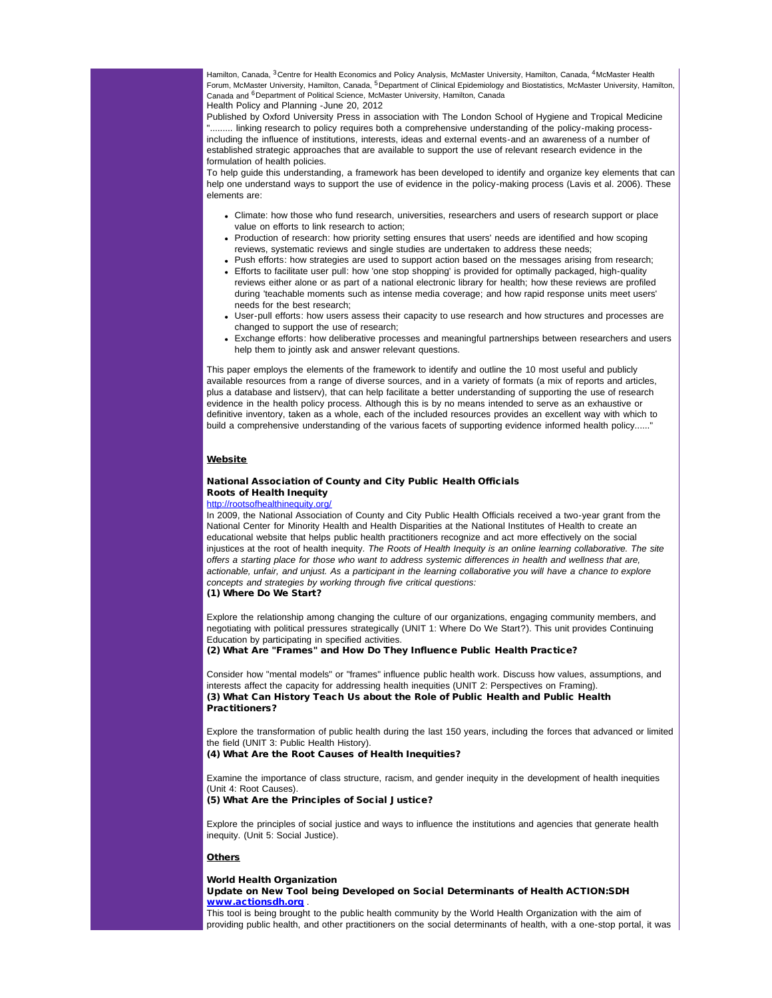Hamilton, Canada, <sup>3</sup>Centre for Health Economics and Policy Analysis, McMaster University, Hamilton, Canada, <sup>4</sup>McMaster Health Forum, McMaster University, Hamilton, Canada, 5Department of Clinical Epidemiology and Biostatistics, McMaster University, Hamilton, Canada and 6Department of Political Science, McMaster University, Hamilton, Canada Health Policy and Planning -June 20, 2012

Published by Oxford University Press in association with The London School of Hygiene and Tropical Medicine ......... linking research to policy requires both a comprehensive understanding of the policy-making processincluding the influence of institutions, interests, ideas and external events-and an awareness of a number of established strategic approaches that are available to support the use of relevant research evidence in the formulation of health policies.

To help guide this understanding, a framework has been developed to identify and organize key elements that can help one understand ways to support the use of evidence in the policy-making process (Lavis et al. 2006). These elements are:

- Climate: how those who fund research, universities, researchers and users of research support or place value on efforts to link research to action;
- Production of research: how priority setting ensures that users' needs are identified and how scoping reviews, systematic reviews and single studies are undertaken to address these needs;
- Push efforts: how strategies are used to support action based on the messages arising from research; Efforts to facilitate user pull: how 'one stop shopping' is provided for optimally packaged, high-quality reviews either alone or as part of a national electronic library for health; how these reviews are profiled during 'teachable moments such as intense media coverage; and how rapid response units meet users' needs for the best research;
- User-pull efforts: how users assess their capacity to use research and how structures and processes are changed to support the use of research;
- Exchange efforts: how deliberative processes and meaningful partnerships between researchers and users help them to jointly ask and answer relevant questions.

This paper employs the elements of the framework to identify and outline the 10 most useful and publicly available resources from a range of diverse sources, and in a variety of formats (a mix of reports and articles, plus a database and listserv), that can help facilitate a better understanding of supporting the use of research evidence in the health policy process. Although this is by no means intended to serve as an exhaustive or definitive inventory, taken as a whole, each of the included resources provides an excellent way with which to build a comprehensive understanding of the various facets of supporting evidence informed health policy......

## Website

## National Association of County and City Public Health Officials Roots of Health Inequity

## [http://rootsofhealthinequity.org/](http://r20.rs6.net/tn.jsp?e=0019l1XMXRMQ6sa4JZdBXfhn6JujLLU0OQUuTTvEG8Aep_kFwyvO3Kk1GdS1a2EAZ-lFRtmZeStSm51HWeMzvthGWytM6atDum3YS-9lpuIgpNIG6QLSL_mOb8hs2CihmnS)

In 2009, the National Association of County and City Public Health Officials received a two-year grant from the National Center for Minority Health and Health Disparities at the National Institutes of Health to create an educational website that helps public health practitioners recognize and act more effectively on the social injustices at the root of health inequity. *The Roots of Health Inequity is an online learning collaborative. The site offers a starting place for those who want to address systemic differences in health and wellness that are, actionable, unfair, and unjust. As a participant in the learning collaborative you will have a chance to explore concepts and strategies by working through five critical questions:* (1) Where Do We Start?

Explore the relationship among changing the culture of our organizations, engaging community members, and negotiating with political pressures strategically (UNIT 1: Where Do We Start?). This unit provides Continuing Education by participating in specified activities.

(2) What Are "Frames" and How Do They Influence Public Health Practice?

Consider how "mental models" or "frames" influence public health work. Discuss how values, assumptions, and interests affect the capacity for addressing health inequities (UNIT 2: Perspectives on Framing). (3) What Can History Teach Us about the Role of Public Health and Public Health Practitioners?

Explore the transformation of public health during the last 150 years, including the forces that advanced or limited the field (UNIT 3: Public Health History).

(4) What Are the Root Causes of Health Inequities?

Examine the importance of class structure, racism, and gender inequity in the development of health inequities (Unit 4: Root Causes).

(5) What Are the Principles of Social Justice?

Explore the principles of social justice and ways to influence the institutions and agencies that generate health inequity. (Unit 5: Social Justice).

## **Others**

# World Health Organization

## Update on New Tool being Developed on Social Determinants of Health ACTION:SDH [www.actionsdh.org](http://r20.rs6.net/tn.jsp?e=0019l1XMXRMQ6t3kYyN-DD1edpDHmL4AOX8w2n8oQ9CQQkbLSKKRLBqDDY99k1iWpIFg7fEFp3rbkO8Yon8_GnYZAeDueqQvVplHkmwzsm31bs=)

This tool is being brought to the public health community by the World Health Organization with the aim of providing public health, and other practitioners on the social determinants of health, with a one-stop portal, it was